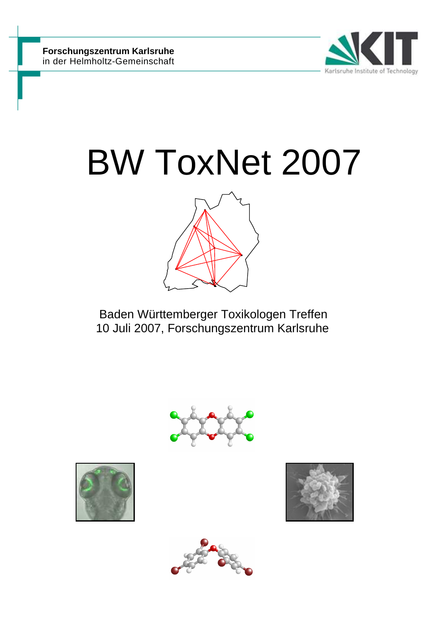

# BW ToxNet 2007



 Baden Württemberger Toxikologen Treffen 10 Juli 2007, Forschungszentrum Karlsruhe







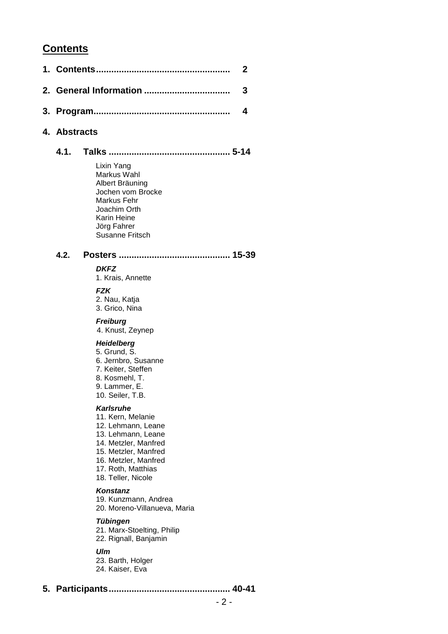# **Contents**

| 4. Abstracts |                                                                                                                                                                                                |  |
|--------------|------------------------------------------------------------------------------------------------------------------------------------------------------------------------------------------------|--|
| 4.1.         |                                                                                                                                                                                                |  |
|              | Lixin Yang<br>Markus Wahl<br>Albert Bräuning<br>Jochen vom Brocke<br>Markus Fehr<br>Joachim Orth<br><b>Karin Heine</b><br>Jörg Fahrer<br><b>Susanne Fritsch</b>                                |  |
| 4.2.         |                                                                                                                                                                                                |  |
|              | <b>DKFZ</b><br>1. Krais, Annette                                                                                                                                                               |  |
|              | <b>FZK</b><br>2. Nau, Katja<br>3. Grico, Nina                                                                                                                                                  |  |
|              | <b>Freiburg</b><br>4. Knust, Zeynep                                                                                                                                                            |  |
|              | <b>Heidelberg</b><br>5. Grund, S.<br>6. Jernbro, Susanne<br>7. Keiter, Steffen<br>8. Kosmehl, T.<br>9. Lammer, E.<br>10. Seiler, T.B.                                                          |  |
|              | Karlsruhe<br>11. Kern, Melanie<br>12. Lehmann, Leane<br>13. Lehmann, Leane<br>14. Metzler, Manfred<br>15. Metzler, Manfred<br>16. Metzler, Manfred<br>17. Roth, Matthias<br>18. Teller, Nicole |  |
|              | Konstanz<br>19. Kunzmann, Andrea<br>20. Moreno-Villanueva, Maria                                                                                                                               |  |
|              | Tübingen<br>21. Marx-Stoelting, Philip<br>22. Rignall, Banjamin                                                                                                                                |  |
|              | Ulm                                                                                                                                                                                            |  |

23. Barth, Holger 24. Kaiser, Eva

**5. Participants ................................................ 40-41**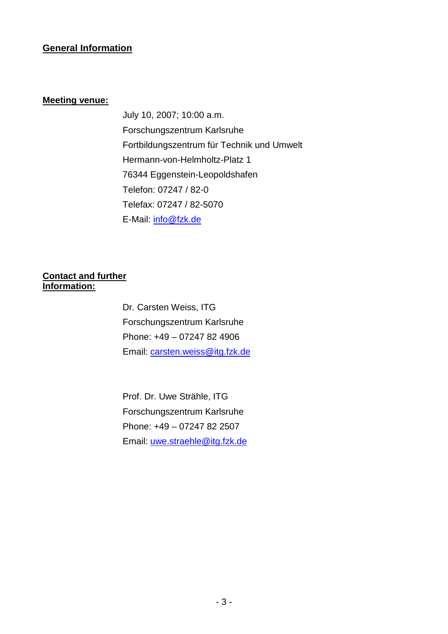# **General Information**

# **Meeting venue:**

 July 10, 2007; 10:00 a.m. Forschungszentrum Karlsruhe Fortbildungszentrum für Technik und Umwelt Hermann-von-Helmholtz-Platz 1 76344 Eggenstein-Leopoldshafen Telefon: 07247 / 82-0 Telefax: 07247 / 82-5070 E-Mail: info@fzk.de

# **Contact and further Information:**

Dr. Carsten Weiss, ITG Forschungszentrum Karlsruhe Phone: +49 – 07247 82 4906 Email: carsten.weiss@itg.fzk.de

 Prof. Dr. Uwe Strähle, ITG Forschungszentrum Karlsruhe Phone: +49 – 07247 82 2507 Email: uwe.straehle@itg.fzk.de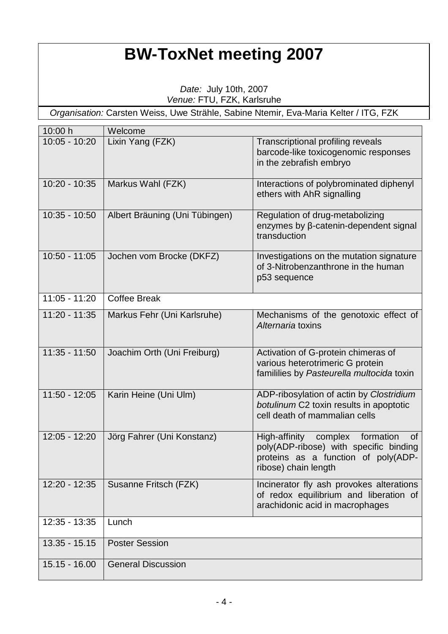# **BW-ToxNet meeting 2007**

Date: July 10th, 2007 Venue: FTU, FZK, Karlsruhe

Organisation: Carsten Weiss, Uwe Strähle, Sabine Ntemir, Eva-Maria Kelter / ITG, FZK

| 10:00 h         | Welcome                        |                                                                                                                                                             |
|-----------------|--------------------------------|-------------------------------------------------------------------------------------------------------------------------------------------------------------|
| $10:05 - 10:20$ | Lixin Yang (FZK)               | <b>Transcriptional profiling reveals</b><br>barcode-like toxicogenomic responses<br>in the zebrafish embryo                                                 |
| $10:20 - 10:35$ | Markus Wahl (FZK)              | Interactions of polybrominated diphenyl<br>ethers with AhR signalling                                                                                       |
| $10:35 - 10:50$ | Albert Bräuning (Uni Tübingen) | Regulation of drug-metabolizing<br>enzymes by ß-catenin-dependent signal<br>transduction                                                                    |
| $10:50 - 11:05$ | Jochen vom Brocke (DKFZ)       | Investigations on the mutation signature<br>of 3-Nitrobenzanthrone in the human<br>p53 sequence                                                             |
| $11:05 - 11:20$ | <b>Coffee Break</b>            |                                                                                                                                                             |
| $11:20 - 11:35$ | Markus Fehr (Uni Karlsruhe)    | Mechanisms of the genotoxic effect of<br>Alternaria toxins                                                                                                  |
| $11:35 - 11:50$ | Joachim Orth (Uni Freiburg)    | Activation of G-protein chimeras of<br>various heterotrimeric G protein<br>famililies by Pasteurella multocida toxin                                        |
| $11:50 - 12:05$ | Karin Heine (Uni Ulm)          | ADP-ribosylation of actin by Clostridium<br>botulinum C2 toxin results in apoptotic<br>cell death of mammalian cells                                        |
| $12:05 - 12:20$ | Jörg Fahrer (Uni Konstanz)     | High-affinity<br>complex<br>formation<br><b>of</b><br>poly(ADP-ribose) with specific binding<br>proteins as a function of poly(ADP-<br>ribose) chain length |
| $12:20 - 12:35$ | Susanne Fritsch (FZK)          | Incinerator fly ash provokes alterations<br>of redox equilibrium and liberation of<br>arachidonic acid in macrophages                                       |
| $12:35 - 13:35$ | Lunch                          |                                                                                                                                                             |
| $13.35 - 15.15$ | <b>Poster Session</b>          |                                                                                                                                                             |
| $15.15 - 16.00$ | <b>General Discussion</b>      |                                                                                                                                                             |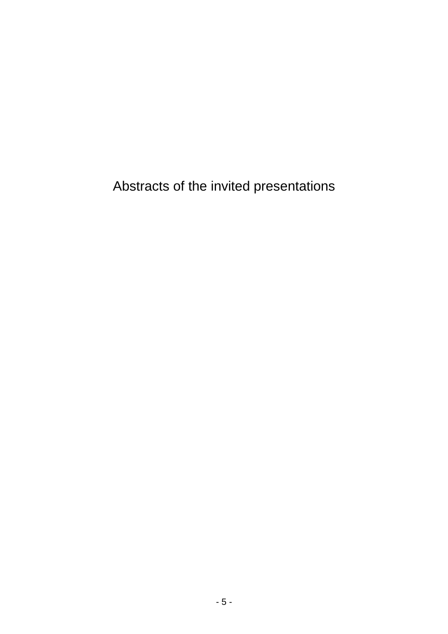Abstracts of the invited presentations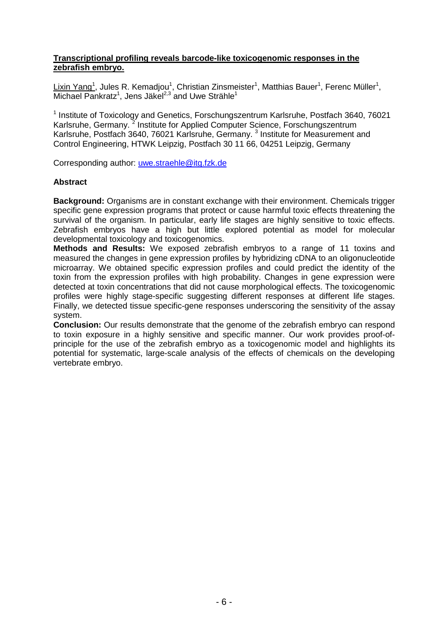#### **Transcriptional profiling reveals barcode-like toxicogenomic responses in the zebrafish embryo.**

Lixin Yang<sup>1</sup>, Jules R. Kemadjou<sup>1</sup>, Christian Zinsmeister<sup>1</sup>, Matthias Bauer<sup>1</sup>, Ferenc Müller<sup>1</sup>, Michael Pankratz<sup>1</sup>, Jens Jäkel<sup>2,3</sup> and Uwe Strähle<sup>1</sup>

<sup>1</sup> Institute of Toxicology and Genetics, Forschungszentrum Karlsruhe, Postfach 3640, 76021 Karlsruhe, Germany.<sup>2</sup> Institute for Applied Computer Science, Forschungszentrum Karlsruhe, Postfach 3640, 76021 Karlsruhe, Germany. <sup>3</sup> Institute for Measurement and Control Engineering, HTWK Leipzig, Postfach 30 11 66, 04251 Leipzig, Germany

Corresponding author: uwe.straehle@itg.fzk.de

#### **Abstract**

**Background:** Organisms are in constant exchange with their environment. Chemicals trigger specific gene expression programs that protect or cause harmful toxic effects threatening the survival of the organism. In particular, early life stages are highly sensitive to toxic effects. Zebrafish embryos have a high but little explored potential as model for molecular developmental toxicology and toxicogenomics.

**Methods and Results:** We exposed zebrafish embryos to a range of 11 toxins and measured the changes in gene expression profiles by hybridizing cDNA to an oligonucleotide microarray. We obtained specific expression profiles and could predict the identity of the toxin from the expression profiles with high probability. Changes in gene expression were detected at toxin concentrations that did not cause morphological effects. The toxicogenomic profiles were highly stage-specific suggesting different responses at different life stages. Finally, we detected tissue specific-gene responses underscoring the sensitivity of the assay system.

**Conclusion:** Our results demonstrate that the genome of the zebrafish embryo can respond to toxin exposure in a highly sensitive and specific manner. Our work provides proof-ofprinciple for the use of the zebrafish embryo as a toxicogenomic model and highlights its potential for systematic, large-scale analysis of the effects of chemicals on the developing vertebrate embryo.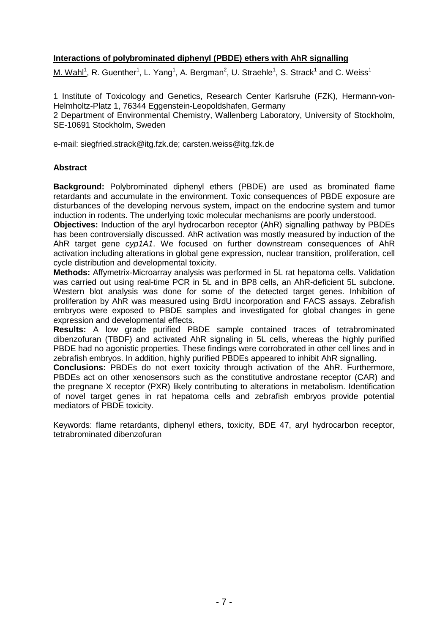# **Interactions of polybrominated diphenyl (PBDE) ethers with AhR signalling**

M. Wahl<sup>1</sup>, R. Guenther<sup>1</sup>, L. Yang<sup>1</sup>, A. Bergman<sup>2</sup>, U. Straehle<sup>1</sup>, S. Strack<sup>1</sup> and C. Weiss<sup>1</sup>

1 Institute of Toxicology and Genetics, Research Center Karlsruhe (FZK), Hermann-von-Helmholtz-Platz 1, 76344 Eggenstein-Leopoldshafen, Germany 2 Department of Environmental Chemistry, Wallenberg Laboratory, University of Stockholm, SE-10691 Stockholm, Sweden

e-mail: siegfried.strack@itg.fzk.de; carsten.weiss@itg.fzk.de

#### **Abstract**

**Background:** Polybrominated diphenyl ethers (PBDE) are used as brominated flame retardants and accumulate in the environment. Toxic consequences of PBDE exposure are disturbances of the developing nervous system, impact on the endocrine system and tumor induction in rodents. The underlying toxic molecular mechanisms are poorly understood.

**Objectives:** Induction of the aryl hydrocarbon receptor (AhR) signalling pathway by PBDEs has been controversially discussed. AhR activation was mostly measured by induction of the AhR target gene cyp1A1. We focused on further downstream consequences of AhR activation including alterations in global gene expression, nuclear transition, proliferation, cell cycle distribution and developmental toxicity.

**Methods:** Affymetrix-Microarray analysis was performed in 5L rat hepatoma cells. Validation was carried out using real-time PCR in 5L and in BP8 cells, an AhR-deficient 5L subclone. Western blot analysis was done for some of the detected target genes. Inhibition of proliferation by AhR was measured using BrdU incorporation and FACS assays. Zebrafish embryos were exposed to PBDE samples and investigated for global changes in gene expression and developmental effects.

**Results:** A low grade purified PBDE sample contained traces of tetrabrominated dibenzofuran (TBDF) and activated AhR signaling in 5L cells, whereas the highly purified PBDE had no agonistic properties. These findings were corroborated in other cell lines and in zebrafish embryos. In addition, highly purified PBDEs appeared to inhibit AhR signalling.

**Conclusions:** PBDEs do not exert toxicity through activation of the AhR. Furthermore, PBDEs act on other xenosensors such as the constitutive androstane receptor (CAR) and the pregnane X receptor (PXR) likely contributing to alterations in metabolism. Identification of novel target genes in rat hepatoma cells and zebrafish embryos provide potential mediators of PBDE toxicity.

Keywords: flame retardants, diphenyl ethers, toxicity, BDE 47, aryl hydrocarbon receptor, tetrabrominated dibenzofuran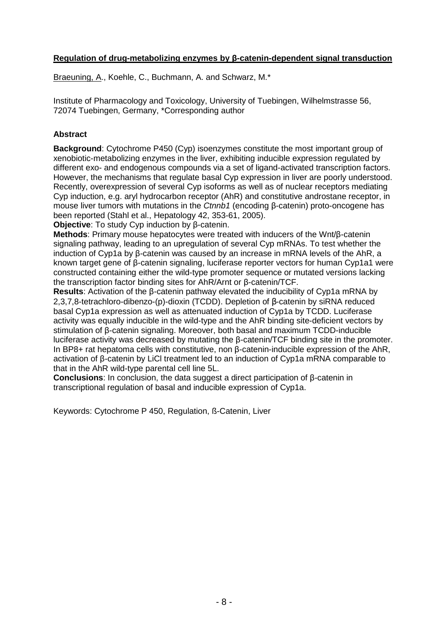# **Regulation of drug-metabolizing enzymes by β-catenin-dependent signal transduction**

Braeuning, A., Koehle, C., Buchmann, A. and Schwarz, M.\*

Institute of Pharmacology and Toxicology, University of Tuebingen, Wilhelmstrasse 56, 72074 Tuebingen, Germany, \*Corresponding author

## **Abstract**

**Background**: Cytochrome P450 (Cyp) isoenzymes constitute the most important group of xenobiotic-metabolizing enzymes in the liver, exhibiting inducible expression regulated by different exo- and endogenous compounds via a set of ligand-activated transcription factors. However, the mechanisms that regulate basal Cyp expression in liver are poorly understood. Recently, overexpression of several Cyp isoforms as well as of nuclear receptors mediating Cyp induction, e.g. aryl hydrocarbon receptor (AhR) and constitutive androstane receptor, in mouse liver tumors with mutations in the Ctnnb1 (encoding β-catenin) proto-oncogene has been reported (Stahl et al., Hepatology 42, 353-61, 2005).

**Objective**: To study Cyp induction by β-catenin.

**Methods**: Primary mouse hepatocytes were treated with inducers of the Wnt/β-catenin signaling pathway, leading to an upregulation of several Cyp mRNAs. To test whether the induction of Cyp1a by β-catenin was caused by an increase in mRNA levels of the AhR, a known target gene of β-catenin signaling, luciferase reporter vectors for human Cyp1a1 were constructed containing either the wild-type promoter sequence or mutated versions lacking the transcription factor binding sites for AhR/Arnt or β-catenin/TCF.

**Results**: Activation of the β-catenin pathway elevated the inducibility of Cyp1a mRNA by 2,3,7,8-tetrachloro-dibenzo-(p)-dioxin (TCDD). Depletion of β-catenin by siRNA reduced basal Cyp1a expression as well as attenuated induction of Cyp1a by TCDD. Luciferase activity was equally inducible in the wild-type and the AhR binding site-deficient vectors by stimulation of β-catenin signaling. Moreover, both basal and maximum TCDD-inducible luciferase activity was decreased by mutating the β-catenin/TCF binding site in the promoter. In BP8+ rat hepatoma cells with constitutive, non β-catenin-inducible expression of the AhR, activation of β-catenin by LiCl treatment led to an induction of Cyp1a mRNA comparable to that in the AhR wild-type parental cell line 5L.

**Conclusions**: In conclusion, the data suggest a direct participation of β-catenin in transcriptional regulation of basal and inducible expression of Cyp1a.

Keywords: Cytochrome P 450, Regulation, ß-Catenin, Liver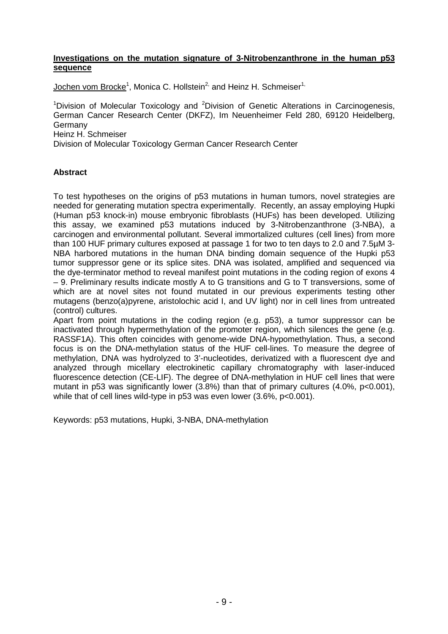#### **Investigations on the mutation signature of 3-Nitrobenzanthrone in the human p53 sequence**

Jochen vom Brocke<sup>1</sup>, Monica C. Hollstein<sup>2,</sup> and Heinz H. Schmeiser<sup>1,</sup>

<sup>1</sup>Division of Molecular Toxicology and <sup>2</sup>Division of Genetic Alterations in Carcinogenesis, German Cancer Research Center (DKFZ), Im Neuenheimer Feld 280, 69120 Heidelberg, Germany Heinz H. Schmeiser

Division of Molecular Toxicology German Cancer Research Center

## **Abstract**

To test hypotheses on the origins of p53 mutations in human tumors, novel strategies are needed for generating mutation spectra experimentally. Recently, an assay employing Hupki (Human p53 knock-in) mouse embryonic fibroblasts (HUFs) has been developed. Utilizing this assay, we examined p53 mutations induced by 3-Nitrobenzanthrone (3-NBA), a carcinogen and environmental pollutant. Several immortalized cultures (cell lines) from more than 100 HUF primary cultures exposed at passage 1 for two to ten days to 2.0 and 7.5µM 3- NBA harbored mutations in the human DNA binding domain sequence of the Hupki p53 tumor suppressor gene or its splice sites. DNA was isolated, amplified and sequenced via the dye-terminator method to reveal manifest point mutations in the coding region of exons 4 – 9. Preliminary results indicate mostly A to G transitions and G to T transversions, some of which are at novel sites not found mutated in our previous experiments testing other mutagens (benzo(a)pyrene, aristolochic acid I, and UV light) nor in cell lines from untreated (control) cultures.

Apart from point mutations in the coding region (e.g. p53), a tumor suppressor can be inactivated through hypermethylation of the promoter region, which silences the gene (e.g. RASSF1A). This often coincides with genome-wide DNA-hypomethylation. Thus, a second focus is on the DNA-methylation status of the HUF cell-lines. To measure the degree of methylation, DNA was hydrolyzed to 3'-nucleotides, derivatized with a fluorescent dye and analyzed through micellary electrokinetic capillary chromatography with laser-induced fluorescence detection (CE-LIF). The degree of DNA-methylation in HUF cell lines that were mutant in p53 was significantly lower  $(3.8\%)$  than that of primary cultures  $(4.0\%$ , p<0.001), while that of cell lines wild-type in p53 was even lower (3.6%, p<0.001).

Keywords: p53 mutations, Hupki, 3-NBA, DNA-methylation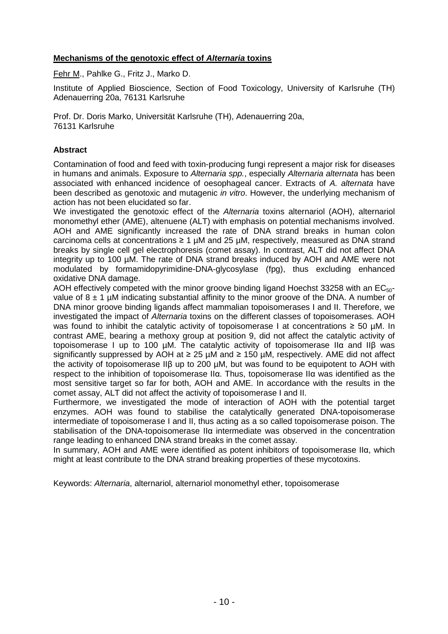# **Mechanisms of the genotoxic effect of Alternaria toxins**

Fehr M., Pahlke G., Fritz J., Marko D.

Institute of Applied Bioscience, Section of Food Toxicology, University of Karlsruhe (TH) Adenauerring 20a, 76131 Karlsruhe

Prof. Dr. Doris Marko, Universität Karlsruhe (TH), Adenauerring 20a, 76131 Karlsruhe

#### **Abstract**

Contamination of food and feed with toxin-producing fungi represent a major risk for diseases in humans and animals. Exposure to Alternaria spp., especially Alternaria alternata has been associated with enhanced incidence of oesophageal cancer. Extracts of A. alternata have been described as genotoxic and mutagenic in vitro. However, the underlying mechanism of action has not been elucidated so far.

We investigated the genotoxic effect of the *Alternaria* toxins alternariol (AOH), alternariol monomethyl ether (AME), altenuene (ALT) with emphasis on potential mechanisms involved. AOH and AME significantly increased the rate of DNA strand breaks in human colon carcinoma cells at concentrations  $\geq 1$  µM and 25 µM, respectively, measured as DNA strand breaks by single cell gel electrophoresis (comet assay). In contrast, ALT did not affect DNA integrity up to 100 µM. The rate of DNA strand breaks induced by AOH and AME were not modulated by formamidopyrimidine-DNA-glycosylase (fpg), thus excluding enhanced oxidative DNA damage.

AOH effectively competed with the minor groove binding ligand Hoechst 33258 with an  $EC_{50}$ value of  $8 \pm 1$  µM indicating substantial affinity to the minor groove of the DNA. A number of DNA minor groove binding ligands affect mammalian topoisomerases I and II. Therefore, we investigated the impact of Alternaria toxins on the different classes of topoisomerases. AOH was found to inhibit the catalytic activity of topoisomerase I at concentrations  $\geq 50$  µM. In contrast AME, bearing a methoxy group at position 9, did not affect the catalytic activity of topoisomerase I up to 100 µM. The catalytic activity of topoisomerase IIα and IIβ was significantly suppressed by AOH at ≥ 25 µM and ≥ 150 µM, respectively. AME did not affect the activity of topoisomerase IIβ up to 200 µM, but was found to be equipotent to AOH with respect to the inhibition of topoisomerase IIα. Thus, topoisomerase IIα was identified as the most sensitive target so far for both, AOH and AME. In accordance with the results in the comet assay, ALT did not affect the activity of topoisomerase I and II.

Furthermore, we investigated the mode of interaction of AOH with the potential target enzymes. AOH was found to stabilise the catalytically generated DNA-topoisomerase intermediate of topoisomerase I and II, thus acting as a so called topoisomerase poison. The stabilisation of the DNA-topoisomerase IIα intermediate was observed in the concentration range leading to enhanced DNA strand breaks in the comet assay.

In summary, AOH and AME were identified as potent inhibitors of topoisomerase IIα, which might at least contribute to the DNA strand breaking properties of these mycotoxins.

Keywords: Alternaria, alternariol, alternariol monomethyl ether, topoisomerase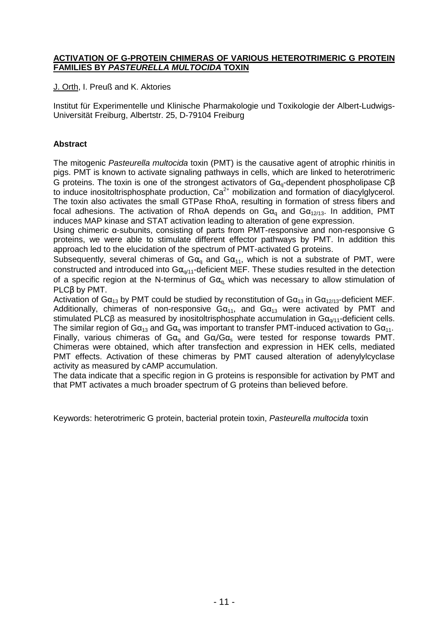#### **ACTIVATION OF G-PROTEIN CHIMERAS OF VARIOUS HETEROTRIMERIC G PROTEIN FAMILIES BY PASTEURELLA MULTOCIDA TOXIN**

J. Orth, I. Preuß and K. Aktories

Institut für Experimentelle und Klinische Pharmakologie und Toxikologie der Albert-Ludwigs-Universität Freiburg, Albertstr. 25, D-79104 Freiburg

# **Abstract**

The mitogenic Pasteurella multocida toxin (PMT) is the causative agent of atrophic rhinitis in pigs. PMT is known to activate signaling pathways in cells, which are linked to heterotrimeric G proteins. The toxin is one of the strongest activators of  $Ga<sub>a</sub>$ -dependent phospholipase C $\beta$ to induce inositoltrisphosphate production,  $Ca<sup>2+</sup>$  mobilization and formation of diacylglycerol. The toxin also activates the small GTPase RhoA, resulting in formation of stress fibers and focal adhesions. The activation of RhoA depends on  $Ga_0$  and  $Ga_{12/13}$ . In addition, PMT induces MAP kinase and STAT activation leading to alteration of gene expression.

Using chimeric α-subunits, consisting of parts from PMT-responsive and non-responsive G proteins, we were able to stimulate different effector pathways by PMT. In addition this approach led to the elucidation of the spectrum of PMT-activated G proteins.

Subsequently, several chimeras of G $\alpha_{q}$  and G $\alpha_{11}$ , which is not a substrate of PMT, were constructed and introduced into  $G\alpha_{q/11}$ -deficient MEF. These studies resulted in the detection of a specific region at the N-terminus of  $Ga_{q}$  which was necessary to allow stimulation of PLCβ by PMT.

Activation of G $\alpha_{13}$  by PMT could be studied by reconstitution of G $\alpha_{13}$  in G $\alpha_{12/13}$ -deficient MEF. Additionally, chimeras of non-responsive  $Ga_{11}$ , and  $Ga_{13}$  were activated by PMT and stimulated PLCβ as measured by inositoltrisphosphate accumulation in  $Ga_{0/11}$ -deficient cells. The similar region of  $Ga_{13}$  and  $Ga_{q}$  was important to transfer PMT-induced activation to  $Ga_{11}$ . Finally, various chimeras of G $\alpha_q$  and G $\alpha/\text{Ga}_s$  were tested for response towards PMT. Chimeras were obtained, which after transfection and expression in HEK cells, mediated PMT effects. Activation of these chimeras by PMT caused alteration of adenylylcyclase activity as measured by cAMP accumulation.

The data indicate that a specific region in G proteins is responsible for activation by PMT and that PMT activates a much broader spectrum of G proteins than believed before.

Keywords: heterotrimeric G protein, bacterial protein toxin, Pasteurella multocida toxin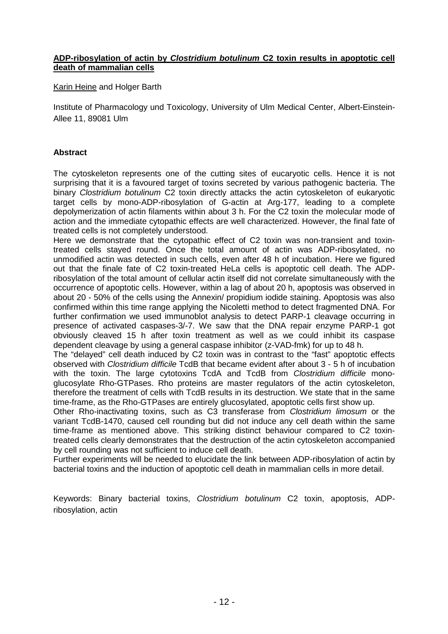#### **ADP-ribosylation of actin by Clostridium botulinum C2 toxin results in apoptotic cell death of mammalian cells**

Karin Heine and Holger Barth

Institute of Pharmacology und Toxicology, University of Ulm Medical Center, Albert-Einstein-Allee 11, 89081 Ulm

# **Abstract**

The cytoskeleton represents one of the cutting sites of eucaryotic cells. Hence it is not surprising that it is a favoured target of toxins secreted by various pathogenic bacteria. The binary Clostridium botulinum C2 toxin directly attacks the actin cytoskeleton of eukaryotic target cells by mono-ADP-ribosylation of G-actin at Arg-177, leading to a complete depolymerization of actin filaments within about 3 h. For the C2 toxin the molecular mode of action and the immediate cytopathic effects are well characterized. However, the final fate of treated cells is not completely understood.

Here we demonstrate that the cytopathic effect of C2 toxin was non-transient and toxintreated cells stayed round. Once the total amount of actin was ADP-ribosylated, no unmodified actin was detected in such cells, even after 48 h of incubation. Here we figured out that the finale fate of C2 toxin-treated HeLa cells is apoptotic cell death. The ADPribosylation of the total amount of cellular actin itself did not correlate simultaneously with the occurrence of apoptotic cells. However, within a lag of about 20 h, apoptosis was observed in about 20 - 50% of the cells using the Annexin/ propidium iodide staining. Apoptosis was also confirmed within this time range applying the Nicoletti method to detect fragmented DNA. For further confirmation we used immunoblot analysis to detect PARP-1 cleavage occurring in presence of activated caspases-3/-7. We saw that the DNA repair enzyme PARP-1 got obviously cleaved 15 h after toxin treatment as well as we could inhibit its caspase dependent cleavage by using a general caspase inhibitor (z-VAD-fmk) for up to 48 h.

The "delayed" cell death induced by C2 toxin was in contrast to the "fast" apoptotic effects observed with Clostridium difficile TcdB that became evident after about 3 - 5 h of incubation with the toxin. The large cytotoxins TcdA and TcdB from Clostridium difficile monoglucosylate Rho-GTPases. Rho proteins are master regulators of the actin cytoskeleton, therefore the treatment of cells with TcdB results in its destruction. We state that in the same time-frame, as the Rho-GTPases are entirely glucosylated, apoptotic cells first show up.

Other Rho-inactivating toxins, such as C3 transferase from Clostridium limosum or the variant TcdB-1470, caused cell rounding but did not induce any cell death within the same time-frame as mentioned above. This striking distinct behaviour compared to C2 toxintreated cells clearly demonstrates that the destruction of the actin cytoskeleton accompanied by cell rounding was not sufficient to induce cell death.

Further experiments will be needed to elucidate the link between ADP-ribosylation of actin by bacterial toxins and the induction of apoptotic cell death in mammalian cells in more detail.

Keywords: Binary bacterial toxins, Clostridium botulinum C2 toxin, apoptosis, ADPribosylation, actin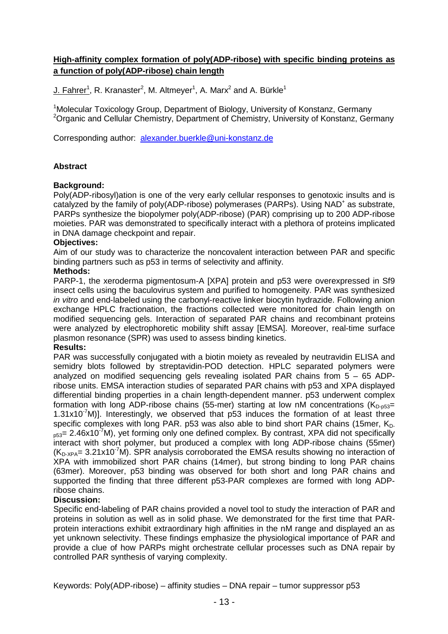# **High-affinity complex formation of poly(ADP-ribose) with specific binding proteins as a function of poly(ADP-ribose) chain length**

J. Fahrer<sup>1</sup>, R. Kranaster<sup>2</sup>, M. Altmeyer<sup>1</sup>, A. Marx<sup>2</sup> and A. Bürkle<sup>1</sup>

<sup>1</sup>Molecular Toxicology Group, Department of Biology, University of Konstanz, Germany <sup>2</sup>Organic and Cellular Chemistry, Department of Chemistry, University of Konstanz, Germany

Corresponding author: alexander.buerkle@uni-konstanz.de

## **Abstract**

#### **Background:**

Poly(ADP-ribosyl)ation is one of the very early cellular responses to genotoxic insults and is catalyzed by the family of poly(ADP-ribose) polymerases (PARPs). Using NAD<sup>+</sup> as substrate, PARPs synthesize the biopolymer poly(ADP-ribose) (PAR) comprising up to 200 ADP-ribose moieties. PAR was demonstrated to specifically interact with a plethora of proteins implicated in DNA damage checkpoint and repair.

#### **Objectives:**

Aim of our study was to characterize the noncovalent interaction between PAR and specific binding partners such as p53 in terms of selectivity and affinity.

#### **Methods:**

PARP-1, the xeroderma pigmentosum-A [XPA] protein and p53 were overexpressed in Sf9 insect cells using the baculovirus system and purified to homogeneity. PAR was synthesized in vitro and end-labeled using the carbonyl-reactive linker biocytin hydrazide. Following anion exchange HPLC fractionation, the fractions collected were monitored for chain length on modified sequencing gels. Interaction of separated PAR chains and recombinant proteins were analyzed by electrophoretic mobility shift assay [EMSA]. Moreover, real-time surface plasmon resonance (SPR) was used to assess binding kinetics.

#### **Results:**

PAR was successfully conjugated with a biotin moiety as revealed by neutravidin ELISA and semidry blots followed by streptavidin-POD detection. HPLC separated polymers were analyzed on modified sequencing gels revealing isolated PAR chains from 5 – 65 ADPribose units. EMSA interaction studies of separated PAR chains with p53 and XPA displayed differential binding properties in a chain length-dependent manner. p53 underwent complex formation with long ADP-ribose chains (55-mer) starting at low nM concentrations ( $K_{D-63}=$  $1.31x10<sup>-7</sup>M$ ]. Interestingly, we observed that p53 induces the formation of at least three specific complexes with long PAR. p53 was also able to bind short PAR chains (15mer,  $K_D$ - $_{653}$ = 2.46x10<sup>-7</sup>M), yet forming only one defined complex. By contrast, XPA did not specifically interact with short polymer, but produced a complex with long ADP-ribose chains (55mer)  $(K_{D\times PA} = 3.21 \times 10^{-7}$ M). SPR analysis corroborated the EMSA results showing no interaction of XPA with immobilized short PAR chains (14mer), but strong binding to long PAR chains (63mer). Moreover, p53 binding was observed for both short and long PAR chains and supported the finding that three different p53-PAR complexes are formed with long ADPribose chains.

#### **Discussion:**

Specific end-labeling of PAR chains provided a novel tool to study the interaction of PAR and proteins in solution as well as in solid phase. We demonstrated for the first time that PARprotein interactions exhibit extraordinary high affinities in the nM range and displayed an as yet unknown selectivity. These findings emphasize the physiological importance of PAR and provide a clue of how PARPs might orchestrate cellular processes such as DNA repair by controlled PAR synthesis of varying complexity.

Keywords: Poly(ADP-ribose) – affinity studies – DNA repair – tumor suppressor p53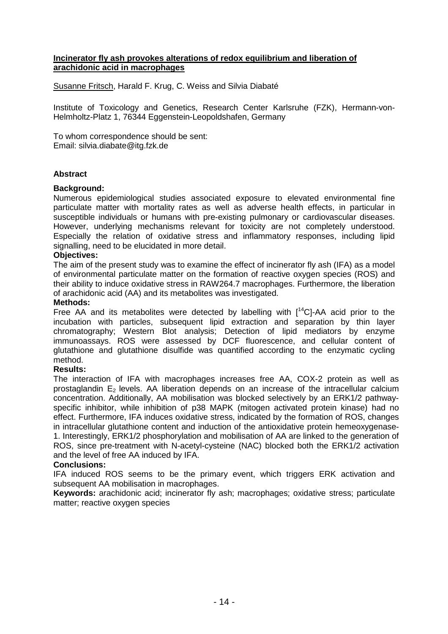#### **Incinerator fly ash provokes alterations of redox equilibrium and liberation of arachidonic acid in macrophages**

Susanne Fritsch, Harald F. Krug, C. Weiss and Silvia Diabaté

Institute of Toxicology and Genetics, Research Center Karlsruhe (FZK), Hermann-von-Helmholtz-Platz 1, 76344 Eggenstein-Leopoldshafen, Germany

To whom correspondence should be sent: Email: silvia.diabate@itg.fzk.de

## **Abstract**

#### **Background:**

Numerous epidemiological studies associated exposure to elevated environmental fine particulate matter with mortality rates as well as adverse health effects, in particular in susceptible individuals or humans with pre-existing pulmonary or cardiovascular diseases. However, underlying mechanisms relevant for toxicity are not completely understood. Especially the relation of oxidative stress and inflammatory responses, including lipid signalling, need to be elucidated in more detail.

#### **Objectives:**

The aim of the present study was to examine the effect of incinerator fly ash (IFA) as a model of environmental particulate matter on the formation of reactive oxygen species (ROS) and their ability to induce oxidative stress in RAW264.7 macrophages. Furthermore, the liberation of arachidonic acid (AA) and its metabolites was investigated.

#### **Methods:**

Free AA and its metabolites were detected by labelling with  $I^{14}$ CI-AA acid prior to the incubation with particles, subsequent lipid extraction and separation by thin layer chromatography; Western Blot analysis; Detection of lipid mediators by enzyme immunoassays. ROS were assessed by DCF fluorescence, and cellular content of glutathione and glutathione disulfide was quantified according to the enzymatic cycling method.

#### **Results:**

The interaction of IFA with macrophages increases free AA, COX-2 protein as well as prostaglandin  $E<sub>2</sub>$  levels. AA liberation depends on an increase of the intracellular calcium concentration. Additionally, AA mobilisation was blocked selectively by an ERK1/2 pathwayspecific inhibitor, while inhibition of p38 MAPK (mitogen activated protein kinase) had no effect. Furthermore, IFA induces oxidative stress, indicated by the formation of ROS, changes in intracellular glutathione content and induction of the antioxidative protein hemeoxygenase-1. Interestingly, ERK1/2 phosphorylation and mobilisation of AA are linked to the generation of ROS, since pre-treatment with N-acetyl-cysteine (NAC) blocked both the ERK1/2 activation and the level of free AA induced by IFA.

#### **Conclusions:**

IFA induced ROS seems to be the primary event, which triggers ERK activation and subsequent AA mobilisation in macrophages.

**Keywords:** arachidonic acid; incinerator fly ash; macrophages; oxidative stress; particulate matter; reactive oxygen species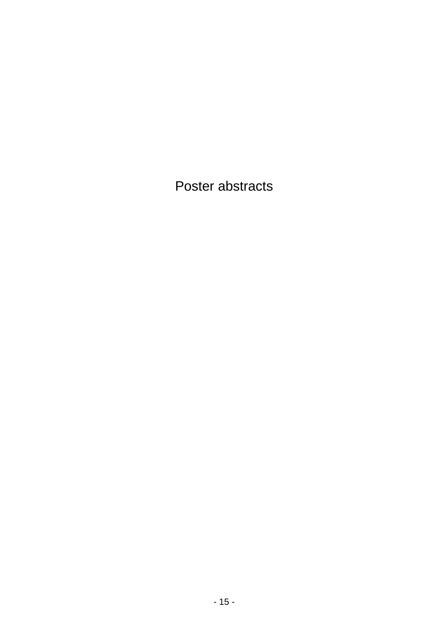Poster abstracts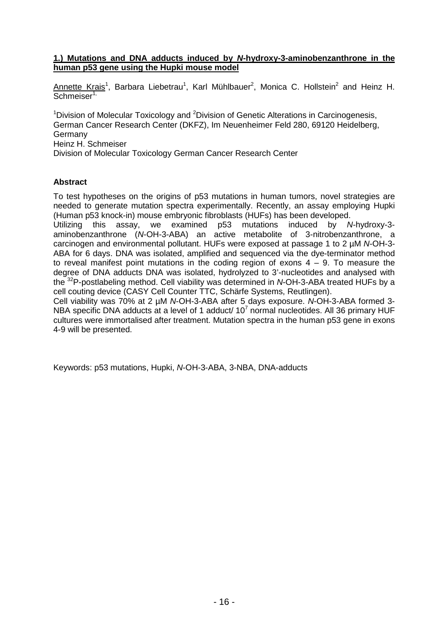#### **1.) Mutations and DNA adducts induced by N-hydroxy-3-aminobenzanthrone in the human p53 gene using the Hupki mouse model**

Annette Krais<sup>1</sup>, Barbara Liebetrau<sup>1</sup>, Karl Mühlbauer<sup>2</sup>, Monica C. Hollstein<sup>2</sup> and Heinz H. Schmeiser<sup>1,</sup>

 $1$ Division of Molecular Toxicology and  $2$ Division of Genetic Alterations in Carcinogenesis, German Cancer Research Center (DKFZ), Im Neuenheimer Feld 280, 69120 Heidelberg, Germany Heinz H. Schmeiser

Division of Molecular Toxicology German Cancer Research Center

## **Abstract**

To test hypotheses on the origins of p53 mutations in human tumors, novel strategies are needed to generate mutation spectra experimentally. Recently, an assay employing Hupki (Human p53 knock-in) mouse embryonic fibroblasts (HUFs) has been developed.

Utilizing this assay, we examined p53 mutations induced by N-hydroxy-3 aminobenzanthrone (N-OH-3-ABA) an active metabolite of 3-nitrobenzanthrone, a carcinogen and environmental pollutant. HUFs were exposed at passage 1 to 2 µM N-OH-3- ABA for 6 days. DNA was isolated, amplified and sequenced via the dye-terminator method to reveal manifest point mutations in the coding region of exons  $4 - 9$ . To measure the degree of DNA adducts DNA was isolated, hydrolyzed to 3'-nucleotides and analysed with the <sup>32</sup>P-postlabeling method. Cell viability was determined in N-OH-3-ABA treated HUFs by a cell couting device (CASY Cell Counter TTC, Schärfe Systems, Reutlingen).

Cell viability was 70% at 2 uM N-OH-3-ABA after 5 days exposure. N-OH-3-ABA formed 3-NBA specific DNA adducts at a level of 1 adduct/  $10^7$  normal nucleotides. All 36 primary HUF cultures were immortalised after treatment. Mutation spectra in the human p53 gene in exons 4-9 will be presented.

Keywords: p53 mutations, Hupki, N-OH-3-ABA, 3-NBA, DNA-adducts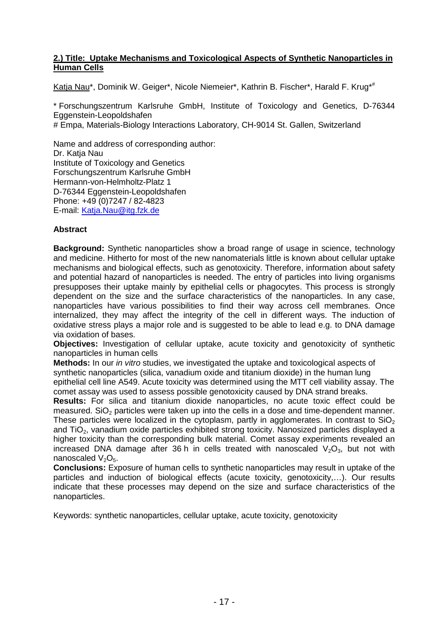#### **2.) Title: Uptake Mechanisms and Toxicological Aspects of Synthetic Nanoparticles in Human Cells**

Katia Nau\*, Dominik W. Geiger\*, Nicole Niemeier\*, Kathrin B. Fischer\*, Harald F. Krug\*#

\* Forschungszentrum Karlsruhe GmbH, Institute of Toxicology and Genetics, D-76344 Eggenstein-Leopoldshafen

# Empa, Materials-Biology Interactions Laboratory, CH-9014 St. Gallen, Switzerland

Name and address of corresponding author: Dr. Katia Nau Institute of Toxicology and Genetics Forschungszentrum Karlsruhe GmbH Hermann-von-Helmholtz-Platz 1 D-76344 Eggenstein-Leopoldshafen Phone: +49 (0)7247 / 82-4823 E-mail: Katja.Nau@itg.fzk.de

# **Abstract**

**Background:** Synthetic nanoparticles show a broad range of usage in science, technology and medicine. Hitherto for most of the new nanomaterials little is known about cellular uptake mechanisms and biological effects, such as genotoxicity. Therefore, information about safety and potential hazard of nanoparticles is needed. The entry of particles into living organisms presupposes their uptake mainly by epithelial cells or phagocytes. This process is strongly dependent on the size and the surface characteristics of the nanoparticles. In any case, nanoparticles have various possibilities to find their way across cell membranes. Once internalized, they may affect the integrity of the cell in different ways. The induction of oxidative stress plays a major role and is suggested to be able to lead e.g. to DNA damage via oxidation of bases.

**Objectives:** Investigation of cellular uptake, acute toxicity and genotoxicity of synthetic nanoparticles in human cells

**Methods:** In our in vitro studies, we investigated the uptake and toxicological aspects of synthetic nanoparticles (silica, vanadium oxide and titanium dioxide) in the human lung epithelial cell line A549. Acute toxicity was determined using the MTT cell viability assay. The comet assay was used to assess possible genotoxicity caused by DNA strand breaks.

**Results:** For silica and titanium dioxide nanoparticles, no acute toxic effect could be measured. SiO<sub>2</sub> particles were taken up into the cells in a dose and time-dependent manner. These particles were localized in the cytoplasm, partly in agglomerates. In contrast to  $SiO<sub>2</sub>$ and TiO<sub>2</sub>, vanadium oxide particles exhibited strong toxicity. Nanosized particles displayed a higher toxicity than the corresponding bulk material. Comet assay experiments revealed an increased DNA damage after 36 h in cells treated with nanoscaled  $V_2O_3$ , but not with nanoscaled  $V_2O_5$ .

**Conclusions:** Exposure of human cells to synthetic nanoparticles may result in uptake of the particles and induction of biological effects (acute toxicity, genotoxicity,…). Our results indicate that these processes may depend on the size and surface characteristics of the nanoparticles.

Keywords: synthetic nanoparticles, cellular uptake, acute toxicity, genotoxicity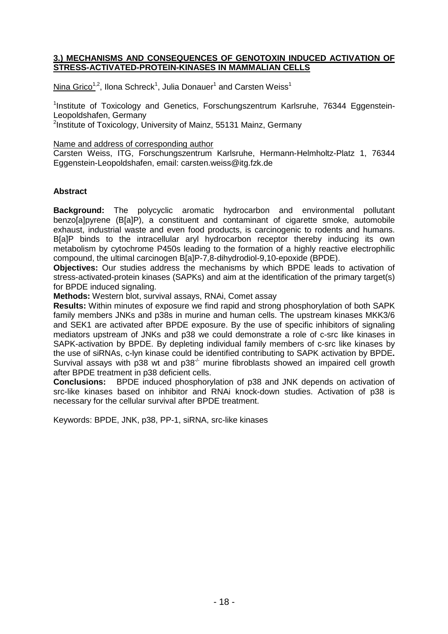#### **3.) MECHANISMS AND CONSEQUENCES OF GENOTOXIN INDUCED ACTIVATION OF STRESS-ACTIVATED-PROTEIN-KINASES IN MAMMALIAN CELLS**

 $\textsf{Nina Grico}^{1,2},$  Ilona Schreck<sup>1</sup>, Julia Donauer<sup>1</sup> and Carsten Weiss<sup>1</sup>

<sup>1</sup>Institute of Toxicology and Genetics, Forschungszentrum Karlsruhe, 76344 Eggenstein-Leopoldshafen, Germany

<sup>2</sup>Institute of Toxicology, University of Mainz, 55131 Mainz, Germany

Name and address of corresponding author

Carsten Weiss, ITG, Forschungszentrum Karlsruhe, Hermann-Helmholtz-Platz 1, 76344 Eggenstein-Leopoldshafen, email: carsten.weiss@itg.fzk.de

#### **Abstract**

**Background:** The polycyclic aromatic hydrocarbon and environmental pollutant benzo[a]pyrene (B[a]P), a constituent and contaminant of cigarette smoke, automobile exhaust, industrial waste and even food products, is carcinogenic to rodents and humans. B[a]P binds to the intracellular aryl hydrocarbon receptor thereby inducing its own metabolism by cytochrome P450s leading to the formation of a highly reactive electrophilic compound, the ultimal carcinogen B[a]P-7,8-dihydrodiol-9,10-epoxide (BPDE).

**Objectives:** Our studies address the mechanisms by which BPDE leads to activation of stress-activated-protein kinases (SAPKs) and aim at the identification of the primary target(s) for BPDE induced signaling.

**Methods:** Western blot, survival assays, RNAi, Comet assay

**Results:** Within minutes of exposure we find rapid and strong phosphorylation of both SAPK family members JNKs and p38s in murine and human cells. The upstream kinases MKK3/6 and SEK1 are activated after BPDE exposure. By the use of specific inhibitors of signaling mediators upstream of JNKs and p38 we could demonstrate a role of c-src like kinases in SAPK-activation by BPDE. By depleting individual family members of c-src like kinases by the use of siRNAs, c-lyn kinase could be identified contributing to SAPK activation by BPDE**.**  Survival assays with p38 wt and  $p38<sup>-/-</sup>$  murine fibroblasts showed an impaired cell growth after BPDE treatment in p38 deficient cells.

**Conclusions:** BPDE induced phosphorylation of p38 and JNK depends on activation of src-like kinases based on inhibitor and RNAi knock-down studies. Activation of p38 is necessary for the cellular survival after BPDE treatment.

Keywords: BPDE, JNK, p38, PP-1, siRNA, src-like kinases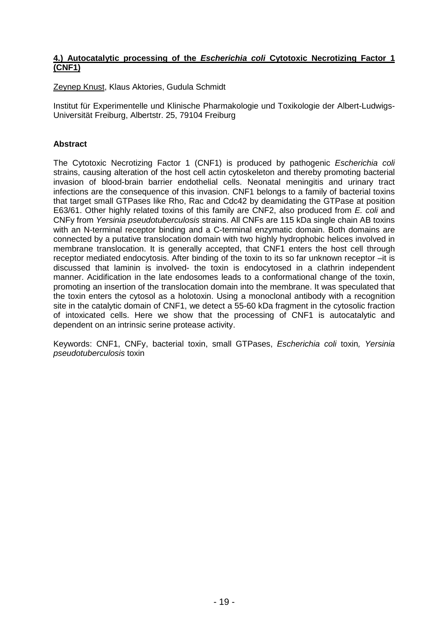#### **4.) Autocatalytic processing of the Escherichia coli Cytotoxic Necrotizing Factor 1 (CNF1)**

Zeynep Knust, Klaus Aktories, Gudula Schmidt

Institut für Experimentelle und Klinische Pharmakologie und Toxikologie der Albert-Ludwigs-Universität Freiburg, Albertstr. 25, 79104 Freiburg

#### **Abstract**

The Cytotoxic Necrotizing Factor 1 (CNF1) is produced by pathogenic Escherichia coli strains, causing alteration of the host cell actin cytoskeleton and thereby promoting bacterial invasion of blood-brain barrier endothelial cells. Neonatal meningitis and urinary tract infections are the consequence of this invasion. CNF1 belongs to a family of bacterial toxins that target small GTPases like Rho, Rac and Cdc42 by deamidating the GTPase at position E63/61. Other highly related toxins of this family are CNF2, also produced from E. coli and CNFy from Yersinia pseudotuberculosis strains. All CNFs are 115 kDa single chain AB toxins with an N-terminal receptor binding and a C-terminal enzymatic domain. Both domains are connected by a putative translocation domain with two highly hydrophobic helices involved in membrane translocation. It is generally accepted, that CNF1 enters the host cell through receptor mediated endocytosis. After binding of the toxin to its so far unknown receptor –it is discussed that laminin is involved- the toxin is endocytosed in a clathrin independent manner. Acidification in the late endosomes leads to a conformational change of the toxin, promoting an insertion of the translocation domain into the membrane. It was speculated that the toxin enters the cytosol as a holotoxin. Using a monoclonal antibody with a recognition site in the catalytic domain of CNF1, we detect a 55-60 kDa fragment in the cytosolic fraction of intoxicated cells. Here we show that the processing of CNF1 is autocatalytic and dependent on an intrinsic serine protease activity.

Keywords: CNF1, CNFy, bacterial toxin, small GTPases, Escherichia coli toxin, Yersinia pseudotuberculosis toxin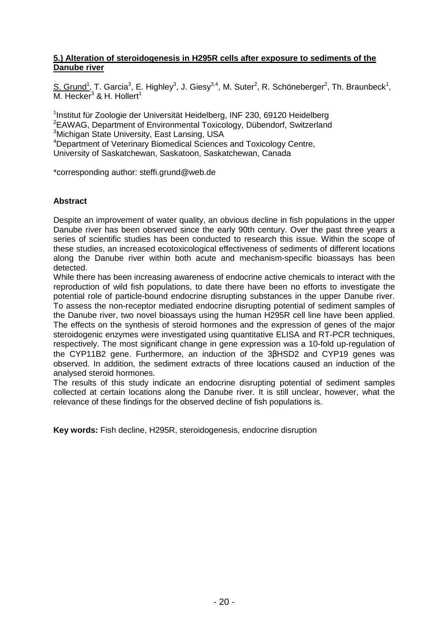#### **5.) Alteration of steroidogenesis in H295R cells after exposure to sediments of the Danube river**

S. Grund<sup>1</sup>, T. Garcia<sup>3</sup>, E. Highley<sup>3</sup>, J. Giesy<sup>3,4</sup>, M. Suter<sup>2</sup>, R. Schöneberger<sup>2</sup>, Th. Braunbeck<sup>1</sup>, M. Hecker<sup>3</sup> & H. Hollert<sup>1</sup>

<sup>1</sup>Institut für Zoologie der Universität Heidelberg, INF 230, 69120 Heidelberg <sup>2</sup>EAWAG, Department of Environmental Toxicology, Dübendorf, Switzerland <sup>3</sup>Michigan State University, East Lansing, USA <sup>4</sup>Department of Veterinary Biomedical Sciences and Toxicology Centre,

University of Saskatchewan, Saskatoon, Saskatchewan, Canada

\*corresponding author: steffi.grund@web.de

#### **Abstract**

Despite an improvement of water quality, an obvious decline in fish populations in the upper Danube river has been observed since the early 90th century. Over the past three years a series of scientific studies has been conducted to research this issue. Within the scope of these studies, an increased ecotoxicological effectiveness of sediments of different locations along the Danube river within both acute and mechanism-specific bioassays has been detected.

While there has been increasing awareness of endocrine active chemicals to interact with the reproduction of wild fish populations, to date there have been no efforts to investigate the potential role of particle-bound endocrine disrupting substances in the upper Danube river. To assess the non-receptor mediated endocrine disrupting potential of sediment samples of the Danube river, two novel bioassays using the human H295R cell line have been applied. The effects on the synthesis of steroid hormones and the expression of genes of the major steroidogenic enzymes were investigated using quantitative ELISA and RT-PCR techniques, respectively. The most significant change in gene expression was a 10-fold up-regulation of the CYP11B2 gene. Furthermore, an induction of the 3βHSD2 and CYP19 genes was observed. In addition, the sediment extracts of three locations caused an induction of the analysed steroid hormones.

The results of this study indicate an endocrine disrupting potential of sediment samples collected at certain locations along the Danube river. It is still unclear, however, what the relevance of these findings for the observed decline of fish populations is.

**Key words:** Fish decline, H295R, steroidogenesis, endocrine disruption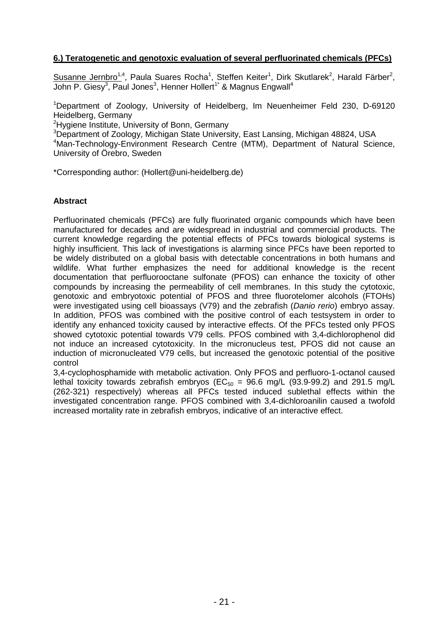# **6.) Teratogenetic and genotoxic evaluation of several perfluorinated chemicals (PFCs)**

Susanne Jernbro<sup>1,4</sup>, Paula Suares Rocha<sup>1</sup>, Steffen Keiter<sup>1</sup>, Dirk Skutlarek<sup>2</sup>, Harald Färber<sup>2</sup>, John P. Giesy<sup>3</sup>, Paul Jones<sup>3</sup>, Henner Hollert<sup>1\*</sup> & Magnus Engwall<sup>4</sup>

<sup>1</sup>Department of Zoology, University of Heidelberg, Im Neuenheimer Feld 230, D-69120 Heidelberg, Germany

<sup>2</sup>Hygiene Institute, University of Bonn, Germany

<sup>3</sup>Department of Zoology, Michigan State University, East Lansing, Michigan 48824, USA

<sup>4</sup>Man-Technology-Environment Research Centre (MTM), Department of Natural Science, University of Örebro, Sweden

\*Corresponding author: (Hollert@uni-heidelberg.de)

#### **Abstract**

Perfluorinated chemicals (PFCs) are fully fluorinated organic compounds which have been manufactured for decades and are widespread in industrial and commercial products. The current knowledge regarding the potential effects of PFCs towards biological systems is highly insufficient. This lack of investigations is alarming since PFCs have been reported to be widely distributed on a global basis with detectable concentrations in both humans and wildlife. What further emphasizes the need for additional knowledge is the recent documentation that perfluorooctane sulfonate (PFOS) can enhance the toxicity of other compounds by increasing the permeability of cell membranes. In this study the cytotoxic, genotoxic and embryotoxic potential of PFOS and three fluorotelomer alcohols (FTOHs) were investigated using cell bioassays (V79) and the zebrafish (Danio rerio) embryo assay. In addition, PFOS was combined with the positive control of each testsystem in order to identify any enhanced toxicity caused by interactive effects. Of the PFCs tested only PFOS showed cytotoxic potential towards V79 cells. PFOS combined with 3,4-dichlorophenol did not induce an increased cytotoxicity. In the micronucleus test, PFOS did not cause an induction of micronucleated V79 cells, but increased the genotoxic potential of the positive control

3,4-cyclophosphamide with metabolic activation. Only PFOS and perfluoro-1-octanol caused lethal toxicity towards zebrafish embryos ( $EC_{50}$  = 96.6 mg/L (93.9-99.2) and 291.5 mg/L (262-321) respectively) whereas all PFCs tested induced sublethal effects within the investigated concentration range. PFOS combined with 3,4-dichloroanilin caused a twofold increased mortality rate in zebrafish embryos, indicative of an interactive effect.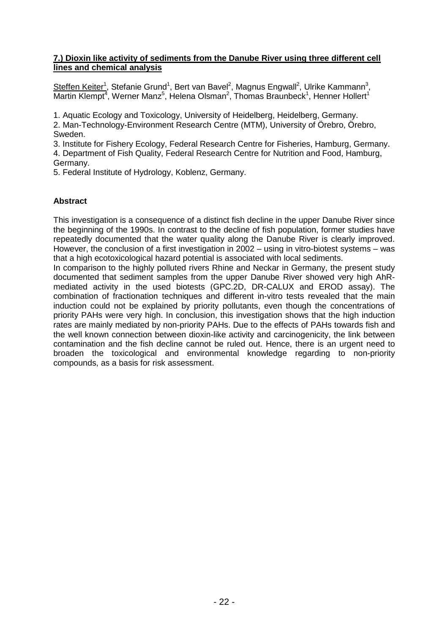#### **7.) Dioxin like activity of sediments from the Danube River using three different cell lines and chemical analysis**

Steffen Keiter<sup>1</sup>, Stefanie Grund<sup>1</sup>, Bert van Bavel<sup>2</sup>, Magnus Engwall<sup>2</sup>, Ulrike Kammann<sup>3</sup>, Martin Klempt<sup>4</sup>, Werner Manz<sup>5</sup>, Helena Olsman<sup>2</sup>, Thomas Braunbeck<sup>1</sup>, Henner Hollert<sup>1</sup>

1. Aquatic Ecology and Toxicology, University of Heidelberg, Heidelberg, Germany.

2. Man-Technology-Environment Research Centre (MTM), University of Örebro, Örebro, Sweden.

3. Institute for Fishery Ecology, Federal Research Centre for Fisheries, Hamburg, Germany.

4. Department of Fish Quality, Federal Research Centre for Nutrition and Food, Hamburg, Germany.

5. Federal Institute of Hydrology, Koblenz, Germany.

# **Abstract**

This investigation is a consequence of a distinct fish decline in the upper Danube River since the beginning of the 1990s. In contrast to the decline of fish population, former studies have repeatedly documented that the water quality along the Danube River is clearly improved. However, the conclusion of a first investigation in 2002 – using in vitro-biotest systems – was that a high ecotoxicological hazard potential is associated with local sediments.

In comparison to the highly polluted rivers Rhine and Neckar in Germany, the present study documented that sediment samples from the upper Danube River showed very high AhRmediated activity in the used biotests (GPC.2D, DR-CALUX and EROD assay). The combination of fractionation techniques and different in-vitro tests revealed that the main induction could not be explained by priority pollutants, even though the concentrations of priority PAHs were very high. In conclusion, this investigation shows that the high induction rates are mainly mediated by non-priority PAHs. Due to the effects of PAHs towards fish and the well known connection between dioxin-like activity and carcinogenicity, the link between contamination and the fish decline cannot be ruled out. Hence, there is an urgent need to broaden the toxicological and environmental knowledge regarding to non-priority compounds, as a basis for risk assessment.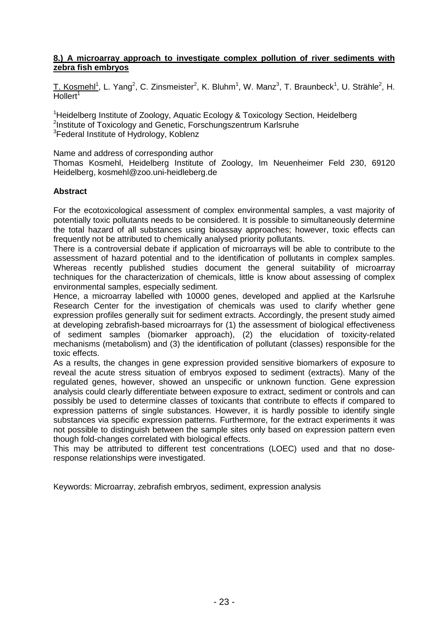#### **8.) A microarray approach to investigate complex pollution of river sediments with zebra fish embryos**

T. Kosmehl<sup>1</sup>, L. Yang<sup>2</sup>, C. Zinsmeister<sup>2</sup>, K. Bluhm<sup>1</sup>, W. Manz<sup>3</sup>, T. Braunbeck<sup>1</sup>, U. Strähle<sup>2</sup>, H.  $H$ ollert<sup>1</sup>

<sup>1</sup>Heidelberg Institute of Zoology, Aquatic Ecology & Toxicology Section, Heidelberg <sup>2</sup>Institute of Toxicology and Genetic, Forschungszentrum Karlsruhe <sup>3</sup>Federal Institute of Hydrology, Koblenz

Name and address of corresponding author

Thomas Kosmehl, Heidelberg Institute of Zoology, Im Neuenheimer Feld 230, 69120 Heidelberg, kosmehl@zoo.uni-heidleberg.de

#### **Abstract**

For the ecotoxicological assessment of complex environmental samples, a vast majority of potentially toxic pollutants needs to be considered. It is possible to simultaneously determine the total hazard of all substances using bioassay approaches; however, toxic effects can frequently not be attributed to chemically analysed priority pollutants.

There is a controversial debate if application of microarrays will be able to contribute to the assessment of hazard potential and to the identification of pollutants in complex samples. Whereas recently published studies document the general suitability of microarray techniques for the characterization of chemicals, little is know about assessing of complex environmental samples, especially sediment.

Hence, a microarray labelled with 10000 genes, developed and applied at the Karlsruhe Research Center for the investigation of chemicals was used to clarify whether gene expression profiles generally suit for sediment extracts. Accordingly, the present study aimed at developing zebrafish-based microarrays for (1) the assessment of biological effectiveness of sediment samples (biomarker approach), (2) the elucidation of toxicity-related mechanisms (metabolism) and (3) the identification of pollutant (classes) responsible for the toxic effects.

As a results, the changes in gene expression provided sensitive biomarkers of exposure to reveal the acute stress situation of embryos exposed to sediment (extracts). Many of the regulated genes, however, showed an unspecific or unknown function. Gene expression analysis could clearly differentiate between exposure to extract, sediment or controls and can possibly be used to determine classes of toxicants that contribute to effects if compared to expression patterns of single substances. However, it is hardly possible to identify single substances via specific expression patterns. Furthermore, for the extract experiments it was not possible to distinguish between the sample sites only based on expression pattern even though fold-changes correlated with biological effects.

This may be attributed to different test concentrations (LOEC) used and that no doseresponse relationships were investigated.

Keywords: Microarray, zebrafish embryos, sediment, expression analysis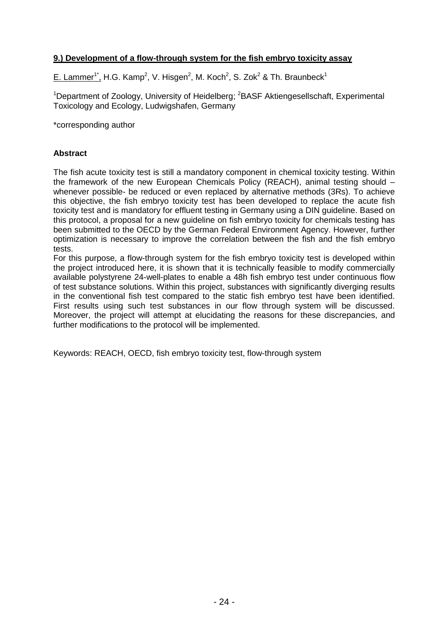# **9.) Development of a flow-through system for the fish embryo toxicity assay**

E. Lammer<sup>1\*</sup>, H.G. Kamp<sup>2</sup>, V. Hisgen<sup>2</sup>, M. Koch<sup>2</sup>, S. Zok<sup>2</sup> & Th. Braunbeck<sup>1</sup>

<sup>1</sup>Department of Zoology, University of Heidelberg; <sup>2</sup>BASF Aktiengesellschaft, Experimental Toxicology and Ecology, Ludwigshafen, Germany

\*corresponding author

#### **Abstract**

The fish acute toxicity test is still a mandatory component in chemical toxicity testing. Within the framework of the new European Chemicals Policy (REACH), animal testing should – whenever possible- be reduced or even replaced by alternative methods (3Rs). To achieve this objective, the fish embryo toxicity test has been developed to replace the acute fish toxicity test and is mandatory for effluent testing in Germany using a DIN guideline. Based on this protocol, a proposal for a new guideline on fish embryo toxicity for chemicals testing has been submitted to the OECD by the German Federal Environment Agency. However, further optimization is necessary to improve the correlation between the fish and the fish embryo tests.

For this purpose, a flow-through system for the fish embryo toxicity test is developed within the project introduced here, it is shown that it is technically feasible to modify commercially available polystyrene 24-well-plates to enable a 48h fish embryo test under continuous flow of test substance solutions. Within this project, substances with significantly diverging results in the conventional fish test compared to the static fish embryo test have been identified. First results using such test substances in our flow through system will be discussed. Moreover, the project will attempt at elucidating the reasons for these discrepancies, and further modifications to the protocol will be implemented.

Keywords: REACH, OECD, fish embryo toxicity test, flow-through system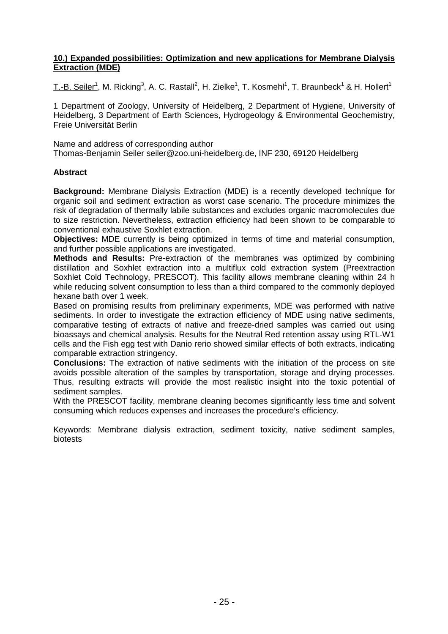#### **10.) Expanded possibilities: Optimization and new applications for Membrane Dialysis Extraction (MDE)**

T.-B. Seiler<sup>1</sup>, M. Ricking<sup>3</sup>, A. C. Rastall<sup>2</sup>, H. Zielke<sup>1</sup>, T. Kosmehl<sup>1</sup>, T. Braunbeck<sup>1</sup> & H. Hollert<sup>1</sup>

1 Department of Zoology, University of Heidelberg, 2 Department of Hygiene, University of Heidelberg, 3 Department of Earth Sciences, Hydrogeology & Environmental Geochemistry, Freie Universität Berlin

Name and address of corresponding author

Thomas-Benjamin Seiler seiler@zoo.uni-heidelberg.de, INF 230, 69120 Heidelberg

#### **Abstract**

**Background:** Membrane Dialysis Extraction (MDE) is a recently developed technique for organic soil and sediment extraction as worst case scenario. The procedure minimizes the risk of degradation of thermally labile substances and excludes organic macromolecules due to size restriction. Nevertheless, extraction efficiency had been shown to be comparable to conventional exhaustive Soxhlet extraction.

**Objectives:** MDE currently is being optimized in terms of time and material consumption, and further possible applications are investigated.

**Methods and Results:** Pre-extraction of the membranes was optimized by combining distillation and Soxhlet extraction into a multiflux cold extraction system (Preextraction Soxhlet Cold Technology, PRESCOT). This facility allows membrane cleaning within 24 h while reducing solvent consumption to less than a third compared to the commonly deployed hexane bath over 1 week.

Based on promising results from preliminary experiments, MDE was performed with native sediments. In order to investigate the extraction efficiency of MDE using native sediments, comparative testing of extracts of native and freeze-dried samples was carried out using bioassays and chemical analysis. Results for the Neutral Red retention assay using RTL-W1 cells and the Fish egg test with Danio rerio showed similar effects of both extracts, indicating comparable extraction stringency.

**Conclusions:** The extraction of native sediments with the initiation of the process on site avoids possible alteration of the samples by transportation, storage and drying processes. Thus, resulting extracts will provide the most realistic insight into the toxic potential of sediment samples.

With the PRESCOT facility, membrane cleaning becomes significantly less time and solvent consuming which reduces expenses and increases the procedure's efficiency.

Keywords: Membrane dialysis extraction, sediment toxicity, native sediment samples, biotests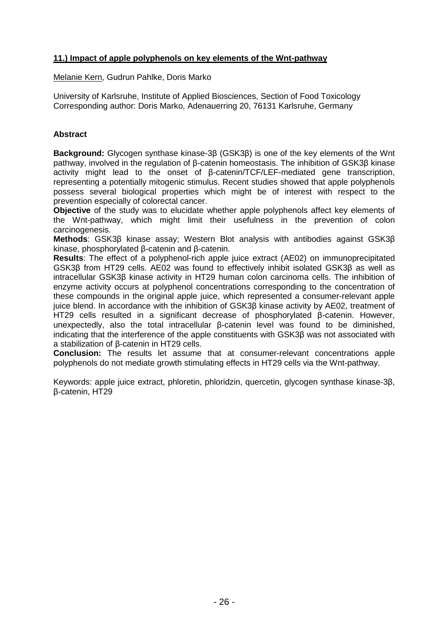# **11.) Impact of apple polyphenols on key elements of the Wnt-pathway**

Melanie Kern, Gudrun Pahlke, Doris Marko

University of Karlsruhe, Institute of Applied Biosciences, Section of Food Toxicology Corresponding author: Doris Marko, Adenauerring 20, 76131 Karlsruhe, Germany

# **Abstract**

**Background:** Glycogen synthase kinase-3β (GSK3β) is one of the key elements of the Wnt pathway, involved in the regulation of β-catenin homeostasis. The inhibition of GSK3β kinase activity might lead to the onset of β-catenin/TCF/LEF-mediated gene transcription, representing a potentially mitogenic stimulus. Recent studies showed that apple polyphenols possess several biological properties which might be of interest with respect to the prevention especially of colorectal cancer.

**Objective** of the study was to elucidate whether apple polyphenols affect key elements of the Wnt-pathway, which might limit their usefulness in the prevention of colon carcinogenesis.

**Methods**: GSK3β kinase assay; Western Blot analysis with antibodies against GSK3β kinase, phosphorylated β-catenin and β-catenin.

**Results**: The effect of a polyphenol-rich apple juice extract (AE02) on immunoprecipitated GSK3β from HT29 cells. AE02 was found to effectively inhibit isolated GSK3β as well as intracellular GSK3β kinase activity in HT29 human colon carcinoma cells. The inhibition of enzyme activity occurs at polyphenol concentrations corresponding to the concentration of these compounds in the original apple juice, which represented a consumer-relevant apple juice blend. In accordance with the inhibition of GSK3β kinase activity by AE02, treatment of HT29 cells resulted in a significant decrease of phosphorylated β-catenin. However, unexpectedly, also the total intracellular β-catenin level was found to be diminished, indicating that the interference of the apple constituents with GSK3β was not associated with a stabilization of β-catenin in HT29 cells.

**Conclusion:** The results let assume that at consumer-relevant concentrations apple polyphenols do not mediate growth stimulating effects in HT29 cells via the Wnt-pathway.

Keywords: apple juice extract, phloretin, phloridzin, quercetin, glycogen synthase kinase-3β, β-catenin, HT29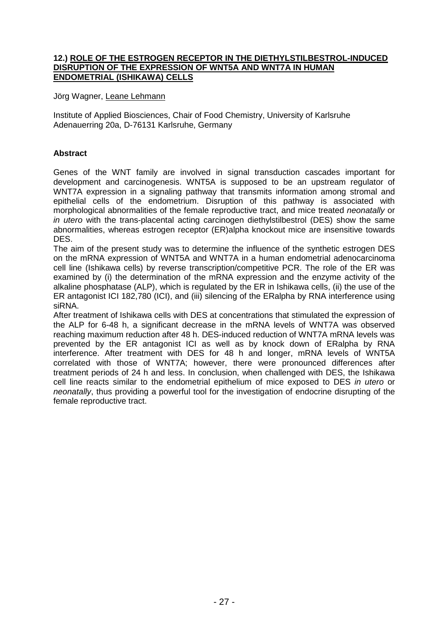#### **12.) ROLE OF THE ESTROGEN RECEPTOR IN THE DIETHYLSTILBESTROL-INDUCED DISRUPTION OF THE EXPRESSION OF WNT5A AND WNT7A IN HUMAN ENDOMETRIAL (ISHIKAWA) CELLS**

Jörg Wagner, Leane Lehmann

Institute of Applied Biosciences, Chair of Food Chemistry, University of Karlsruhe Adenauerring 20a, D-76131 Karlsruhe, Germany

# **Abstract**

Genes of the WNT family are involved in signal transduction cascades important for development and carcinogenesis. WNT5A is supposed to be an upstream regulator of WNT7A expression in a signaling pathway that transmits information among stromal and epithelial cells of the endometrium. Disruption of this pathway is associated with morphological abnormalities of the female reproductive tract, and mice treated neonatally or in utero with the trans-placental acting carcinogen diethylstilbestrol (DES) show the same abnormalities, whereas estrogen receptor (ER)alpha knockout mice are insensitive towards DES.

The aim of the present study was to determine the influence of the synthetic estrogen DES on the mRNA expression of WNT5A and WNT7A in a human endometrial adenocarcinoma cell line (Ishikawa cells) by reverse transcription/competitive PCR. The role of the ER was examined by (i) the determination of the mRNA expression and the enzyme activity of the alkaline phosphatase (ALP), which is regulated by the ER in Ishikawa cells, (ii) the use of the ER antagonist ICI 182,780 (ICI), and (iii) silencing of the ERalpha by RNA interference using siRNA.

After treatment of Ishikawa cells with DES at concentrations that stimulated the expression of the ALP for 6-48 h, a significant decrease in the mRNA levels of WNT7A was observed reaching maximum reduction after 48 h. DES-induced reduction of WNT7A mRNA levels was prevented by the ER antagonist ICI as well as by knock down of ERalpha by RNA interference. After treatment with DES for 48 h and longer, mRNA levels of WNT5A correlated with those of WNT7A; however, there were pronounced differences after treatment periods of 24 h and less. In conclusion, when challenged with DES, the Ishikawa cell line reacts similar to the endometrial epithelium of mice exposed to DES in utero or neonatally, thus providing a powerful tool for the investigation of endocrine disrupting of the female reproductive tract.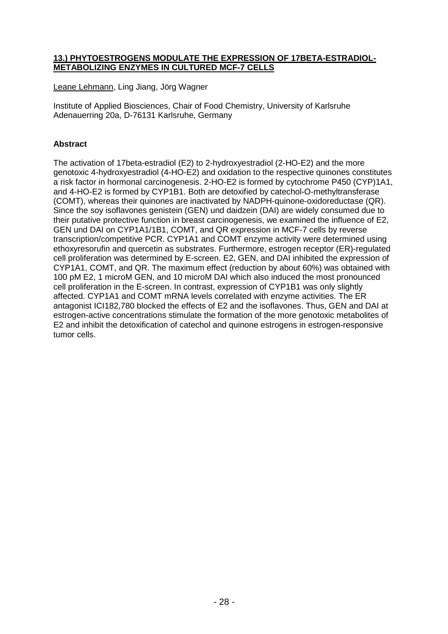#### **13.) PHYTOESTROGENS MODULATE THE EXPRESSION OF 17BETA-ESTRADIOL-METABOLIZING ENZYMES IN CULTURED MCF-7 CELLS**

Leane Lehmann, Ling Jiang, Jörg Wagner

Institute of Applied Biosciences, Chair of Food Chemistry, University of Karlsruhe Adenauerring 20a, D-76131 Karlsruhe, Germany

# **Abstract**

The activation of 17beta-estradiol (E2) to 2-hydroxyestradiol (2-HO-E2) and the more genotoxic 4-hydroxyestradiol (4-HO-E2) and oxidation to the respective quinones constitutes a risk factor in hormonal carcinogenesis. 2-HO-E2 is formed by cytochrome P450 (CYP)1A1, and 4-HO-E2 is formed by CYP1B1. Both are detoxified by catechol-O-methyltransferase (COMT), whereas their quinones are inactivated by NADPH-quinone-oxidoreductase (QR). Since the soy isoflavones genistein (GEN) und daidzein (DAI) are widely consumed due to their putative protective function in breast carcinogenesis, we examined the influence of E2, GEN und DAI on CYP1A1/1B1, COMT, and QR expression in MCF-7 cells by reverse transcription/competitive PCR. CYP1A1 and COMT enzyme activity were determined using ethoxyresorufin and quercetin as substrates. Furthermore, estrogen receptor (ER)-regulated cell proliferation was determined by E-screen. E2, GEN, and DAI inhibited the expression of CYP1A1, COMT, and QR. The maximum effect (reduction by about 60%) was obtained with 100 pM E2, 1 microM GEN, and 10 microM DAI which also induced the most pronounced cell proliferation in the E-screen. In contrast, expression of CYP1B1 was only slightly affected. CYP1A1 and COMT mRNA levels correlated with enzyme activities. The ER antagonist ICI182,780 blocked the effects of E2 and the isoflavones. Thus, GEN and DAI at estrogen-active concentrations stimulate the formation of the more genotoxic metabolites of E2 and inhibit the detoxification of catechol and quinone estrogens in estrogen-responsive tumor cells.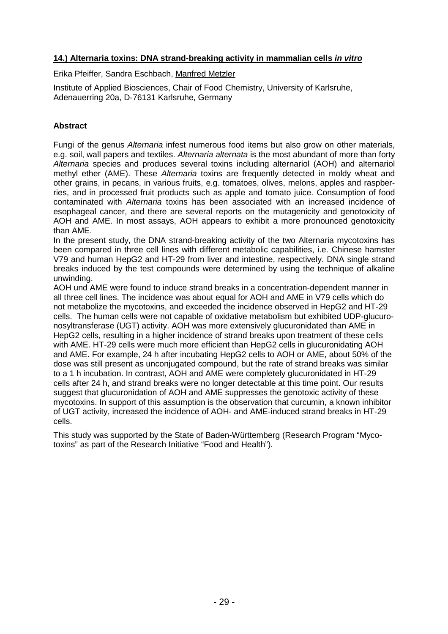## **14.) Alternaria toxins: DNA strand-breaking activity in mammalian cells in vitro**

Erika Pfeiffer, Sandra Eschbach, Manfred Metzler

Institute of Applied Biosciences, Chair of Food Chemistry, University of Karlsruhe, Adenauerring 20a, D-76131 Karlsruhe, Germany

## **Abstract**

Fungi of the genus Alternaria infest numerous food items but also grow on other materials, e.g. soil, wall papers and textiles. Alternaria alternata is the most abundant of more than forty Alternaria species and produces several toxins including alternariol (AOH) and alternariol methyl ether (AME). These Alternaria toxins are frequently detected in moldy wheat and other grains, in pecans, in various fruits, e.g. tomatoes, olives, melons, apples and raspberries, and in processed fruit products such as apple and tomato juice. Consumption of food contaminated with Alternaria toxins has been associated with an increased incidence of esophageal cancer, and there are several reports on the mutagenicity and genotoxicity of AOH and AME. In most assays, AOH appears to exhibit a more pronounced genotoxicity than AME.

In the present study, the DNA strand-breaking activity of the two Alternaria mycotoxins has been compared in three cell lines with different metabolic capabilities, i.e. Chinese hamster V79 and human HepG2 and HT-29 from liver and intestine, respectively. DNA single strand breaks induced by the test compounds were determined by using the technique of alkaline unwinding.

AOH und AME were found to induce strand breaks in a concentration-dependent manner in all three cell lines. The incidence was about equal for AOH and AME in V79 cells which do not metabolize the mycotoxins, and exceeded the incidence observed in HepG2 and HT-29 cells. The human cells were not capable of oxidative metabolism but exhibited UDP-glucuronosyltransferase (UGT) activity. AOH was more extensively glucuronidated than AME in HepG2 cells, resulting in a higher incidence of strand breaks upon treatment of these cells with AME. HT-29 cells were much more efficient than HepG2 cells in glucuronidating AOH and AME. For example, 24 h after incubating HepG2 cells to AOH or AME, about 50% of the dose was still present as unconjugated compound, but the rate of strand breaks was similar to a 1 h incubation. In contrast, AOH and AME were completely glucuronidated in HT-29 cells after 24 h, and strand breaks were no longer detectable at this time point. Our results suggest that glucuronidation of AOH and AME suppresses the genotoxic activity of these mycotoxins. In support of this assumption is the observation that curcumin, a known inhibitor of UGT activity, increased the incidence of AOH- and AME-induced strand breaks in HT-29 cells.

This study was supported by the State of Baden-Württemberg (Research Program "Mycotoxins" as part of the Research Initiative "Food and Health").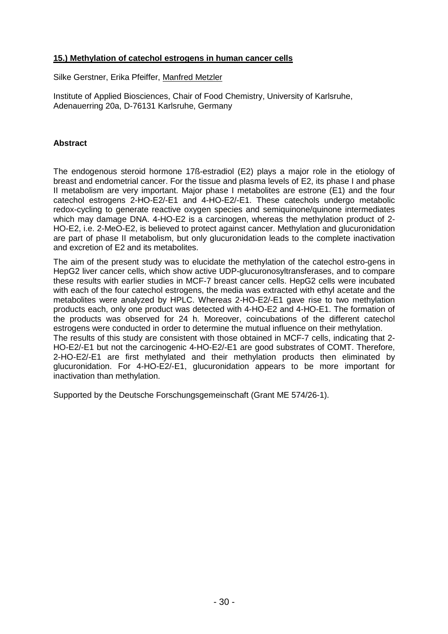# **15.) Methylation of catechol estrogens in human cancer cells**

Silke Gerstner, Erika Pfeiffer, Manfred Metzler

Institute of Applied Biosciences, Chair of Food Chemistry, University of Karlsruhe, Adenauerring 20a, D-76131 Karlsruhe, Germany

#### **Abstract**

The endogenous steroid hormone 17ß-estradiol (E2) plays a major role in the etiology of breast and endometrial cancer. For the tissue and plasma levels of E2, its phase I and phase II metabolism are very important. Major phase I metabolites are estrone (E1) and the four catechol estrogens 2-HO-E2/-E1 and 4-HO-E2/-E1. These catechols undergo metabolic redox-cycling to generate reactive oxygen species and semiquinone/quinone intermediates which may damage DNA. 4-HO-E2 is a carcinogen, whereas the methylation product of 2- HO-E2, i.e. 2-MeO-E2, is believed to protect against cancer. Methylation and glucuronidation are part of phase II metabolism, but only glucuronidation leads to the complete inactivation and excretion of E2 and its metabolites.

The aim of the present study was to elucidate the methylation of the catechol estro-gens in HepG2 liver cancer cells, which show active UDP-glucuronosyltransferases, and to compare these results with earlier studies in MCF-7 breast cancer cells. HepG2 cells were incubated with each of the four catechol estrogens, the media was extracted with ethyl acetate and the metabolites were analyzed by HPLC. Whereas 2-HO-E2/-E1 gave rise to two methylation products each, only one product was detected with 4-HO-E2 and 4-HO-E1. The formation of the products was observed for 24 h. Moreover, coincubations of the different catechol estrogens were conducted in order to determine the mutual influence on their methylation. The results of this study are consistent with those obtained in MCF-7 cells, indicating that 2- HO-E2/-E1 but not the carcinogenic 4-HO-E2/-E1 are good substrates of COMT. Therefore, 2-HO-E2/-E1 are first methylated and their methylation products then eliminated by glucuronidation. For 4-HO-E2/-E1, glucuronidation appears to be more important for inactivation than methylation.

Supported by the Deutsche Forschungsgemeinschaft (Grant ME 574/26-1).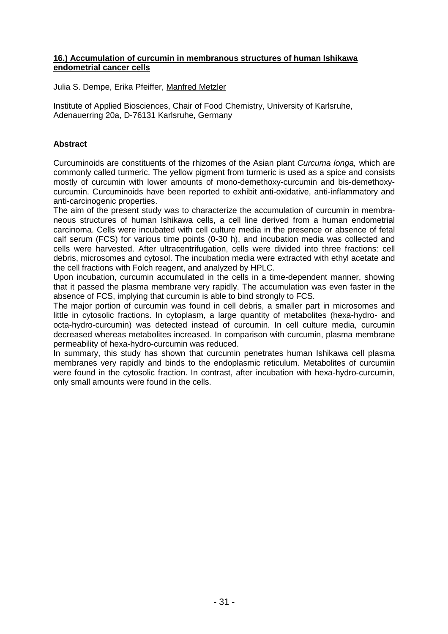#### **16.) Accumulation of curcumin in membranous structures of human Ishikawa endometrial cancer cells**

Julia S. Dempe, Erika Pfeiffer, Manfred Metzler

Institute of Applied Biosciences, Chair of Food Chemistry, University of Karlsruhe, Adenauerring 20a, D-76131 Karlsruhe, Germany

# **Abstract**

Curcuminoids are constituents of the rhizomes of the Asian plant Curcuma longa, which are commonly called turmeric. The yellow pigment from turmeric is used as a spice and consists mostly of curcumin with lower amounts of mono-demethoxy-curcumin and bis-demethoxycurcumin. Curcuminoids have been reported to exhibit anti-oxidative, anti-inflammatory and anti-carcinogenic properties.

The aim of the present study was to characterize the accumulation of curcumin in membraneous structures of human Ishikawa cells, a cell line derived from a human endometrial carcinoma. Cells were incubated with cell culture media in the presence or absence of fetal calf serum (FCS) for various time points (0-30 h), and incubation media was collected and cells were harvested. After ultracentrifugation, cells were divided into three fractions: cell debris, microsomes and cytosol. The incubation media were extracted with ethyl acetate and the cell fractions with Folch reagent, and analyzed by HPLC.

Upon incubation, curcumin accumulated in the cells in a time-dependent manner, showing that it passed the plasma membrane very rapidly. The accumulation was even faster in the absence of FCS, implying that curcumin is able to bind strongly to FCS.

The major portion of curcumin was found in cell debris, a smaller part in microsomes and little in cytosolic fractions. In cytoplasm, a large quantity of metabolites (hexa-hydro- and octa-hydro-curcumin) was detected instead of curcumin. In cell culture media, curcumin decreased whereas metabolites increased. In comparison with curcumin, plasma membrane permeability of hexa-hydro-curcumin was reduced.

In summary, this study has shown that curcumin penetrates human Ishikawa cell plasma membranes very rapidly and binds to the endoplasmic reticulum. Metabolites of curcumiin were found in the cytosolic fraction. In contrast, after incubation with hexa-hydro-curcumin, only small amounts were found in the cells.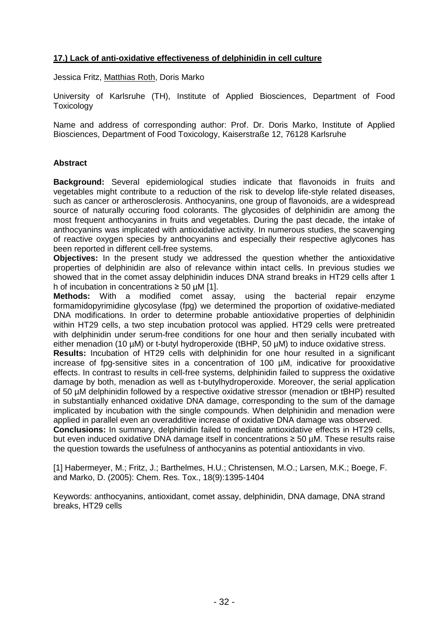# **17.) Lack of anti-oxidative effectiveness of delphinidin in cell culture**

Jessica Fritz, Matthias Roth, Doris Marko

University of Karlsruhe (TH), Institute of Applied Biosciences, Department of Food **Toxicology** 

Name and address of corresponding author: Prof. Dr. Doris Marko, Institute of Applied Biosciences, Department of Food Toxicology, Kaiserstraße 12, 76128 Karlsruhe

## **Abstract**

**Background:** Several epidemiological studies indicate that flavonoids in fruits and vegetables might contribute to a reduction of the risk to develop life-style related diseases, such as cancer or artherosclerosis. Anthocyanins, one group of flavonoids, are a widespread source of naturally occuring food colorants. The glycosides of delphinidin are among the most frequent anthocyanins in fruits and vegetables. During the past decade, the intake of anthocyanins was implicated with antioxidative activity. In numerous studies, the scavenging of reactive oxygen species by anthocyanins and especially their respective aglycones has been reported in different cell-free systems.

**Objectives:** In the present study we addressed the question whether the antioxidative properties of delphinidin are also of relevance within intact cells. In previous studies we showed that in the comet assay delphinidin induces DNA strand breaks in HT29 cells after 1 h of incubation in concentrations  $\geq 50$  µM [1].

**Methods:** With a modified comet assay, using the bacterial repair enzyme formamidopyrimidine glycosylase (fpg) we determined the proportion of oxidative-mediated DNA modifications. In order to determine probable antioxidative properties of delphinidin within HT29 cells, a two step incubation protocol was applied. HT29 cells were pretreated with delphinidin under serum-free conditions for one hour and then serially incubated with either menadion (10 µM) or t-butyl hydroperoxide (tBHP, 50 µM) to induce oxidative stress.

**Results:** Incubation of HT29 cells with delphinidin for one hour resulted in a significant increase of fpg-sensitive sites in a concentration of 100 µM, indicative for prooxidative effects. In contrast to results in cell-free systems, delphinidin failed to suppress the oxidative damage by both, menadion as well as t-butylhydroperoxide. Moreover, the serial application of 50 µM delphinidin followed by a respective oxidative stressor (menadion or tBHP) resulted in substantially enhanced oxidative DNA damage, corresponding to the sum of the damage implicated by incubation with the single compounds. When delphinidin and menadion were applied in parallel even an overadditive increase of oxidative DNA damage was observed.

**Conclusions:** In summary, delphinidin failed to mediate antioxidative effects in HT29 cells, but even induced oxidative DNA damage itself in concentrations  $\geq$  50 µM. These results raise the question towards the usefulness of anthocyanins as potential antioxidants in vivo.

[1] Habermeyer, M.; Fritz, J.; Barthelmes, H.U.; Christensen, M.O.; Larsen, M.K.; Boege, F. and Marko, D. (2005): Chem. Res. Tox., 18(9):1395-1404

Keywords: anthocyanins, antioxidant, comet assay, delphinidin, DNA damage, DNA strand breaks, HT29 cells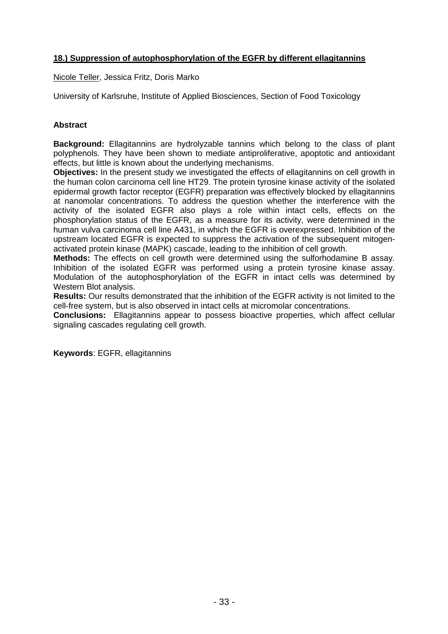# **18.) Suppression of autophosphorylation of the EGFR by different ellagitannins**

Nicole Teller, Jessica Fritz, Doris Marko

University of Karlsruhe, Institute of Applied Biosciences, Section of Food Toxicology

#### **Abstract**

**Background:** Ellagitannins are hydrolyzable tannins which belong to the class of plant polyphenols. They have been shown to mediate antiproliferative, apoptotic and antioxidant effects, but little is known about the underlying mechanisms.

**Objectives:** In the present study we investigated the effects of ellagitannins on cell growth in the human colon carcinoma cell line HT29. The protein tyrosine kinase activity of the isolated epidermal growth factor receptor (EGFR) preparation was effectively blocked by ellagitannins at nanomolar concentrations. To address the question whether the interference with the activity of the isolated EGFR also plays a role within intact cells, effects on the phosphorylation status of the EGFR, as a measure for its activity, were determined in the human vulva carcinoma cell line A431, in which the EGFR is overexpressed. Inhibition of the upstream located EGFR is expected to suppress the activation of the subsequent mitogenactivated protein kinase (MAPK) cascade, leading to the inhibition of cell growth.

**Methods:** The effects on cell growth were determined using the sulforhodamine B assay. Inhibition of the isolated EGFR was performed using a protein tyrosine kinase assay. Modulation of the autophosphorylation of the EGFR in intact cells was determined by Western Blot analysis.

**Results:** Our results demonstrated that the inhibition of the EGFR activity is not limited to the cell-free system, but is also observed in intact cells at micromolar concentrations.

**Conclusions:** Ellagitannins appear to possess bioactive properties, which affect cellular signaling cascades regulating cell growth.

**Keywords**: EGFR, ellagitannins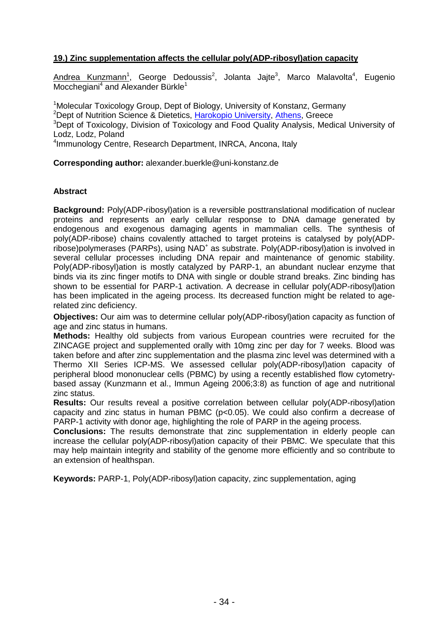# **19.) Zinc supplementation affects the cellular poly(ADP-ribosyl)ation capacity**

Andrea Kunzmann<sup>1</sup>, George Dedoussis<sup>2</sup>, Jolanta Jajte<sup>3</sup>, Marco Malavolta<sup>4</sup>, Eugenio Mocchegiani<sup>4</sup> and Alexander Bürkle<sup>1</sup>

<sup>1</sup>Molecular Toxicology Group, Dept of Biology, University of Konstanz, Germany <sup>2</sup>Dept of Nutrition Science & Dietetics, Harokopio University, Athens, Greece <sup>3</sup>Dept of Toxicology, Division of Toxicology and Food Quality Analysis, Medical University of Lodz, Lodz, Poland

4 Immunology Centre, Research Department, INRCA, Ancona, Italy

**Corresponding author:** alexander.buerkle@uni-konstanz.de

#### **Abstract**

**Background:** Poly(ADP-ribosyl)ation is a reversible posttranslational modification of nuclear proteins and represents an early cellular response to DNA damage generated by endogenous and exogenous damaging agents in mammalian cells. The synthesis of poly(ADP-ribose) chains covalently attached to target proteins is catalysed by poly(ADPribose)polymerases (PARPs), using NAD<sup>+</sup> as substrate. Poly(ADP-ribosyl)ation is involved in several cellular processes including DNA repair and maintenance of genomic stability. Poly(ADP-ribosyl)ation is mostly catalyzed by PARP-1, an abundant nuclear enzyme that binds via its zinc finger motifs to DNA with single or double strand breaks. Zinc binding has shown to be essential for PARP-1 activation. A decrease in cellular poly(ADP-ribosyl)ation has been implicated in the ageing process. Its decreased function might be related to agerelated zinc deficiency.

**Objectives:** Our aim was to determine cellular poly(ADP-ribosyl)ation capacity as function of age and zinc status in humans.

**Methods:** Healthy old subjects from various European countries were recruited for the ZINCAGE project and supplemented orally with 10mg zinc per day for 7 weeks. Blood was taken before and after zinc supplementation and the plasma zinc level was determined with a Thermo XII Series ICP-MS. We assessed cellular poly(ADP-ribosyl)ation capacity of peripheral blood mononuclear cells (PBMC) by using a recently established flow cytometrybased assay (Kunzmann et al., Immun Ageing 2006;3:8) as function of age and nutritional zinc status.

**Results:** Our results reveal a positive correlation between cellular poly(ADP-ribosyl)ation capacity and zinc status in human PBMC  $(p<0.05)$ . We could also confirm a decrease of PARP-1 activity with donor age, highlighting the role of PARP in the ageing process.

**Conclusions:** The results demonstrate that zinc supplementation in elderly people can increase the cellular poly(ADP-ribosyl)ation capacity of their PBMC. We speculate that this may help maintain integrity and stability of the genome more efficiently and so contribute to an extension of healthspan.

**Keywords:** PARP-1, Poly(ADP-ribosyl)ation capacity, zinc supplementation, aging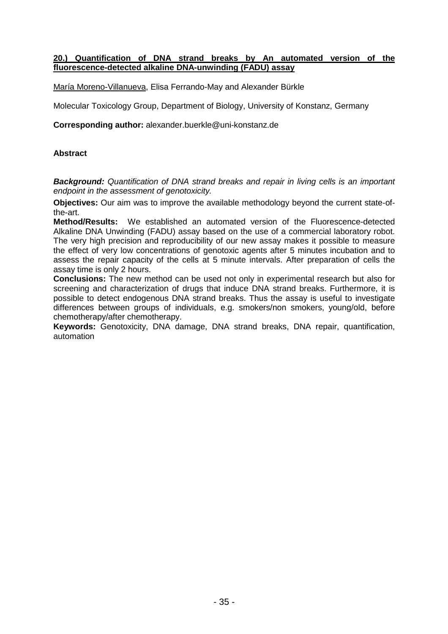#### **20.) Quantification of DNA strand breaks by An automated version of the fluorescence-detected alkaline DNA-unwinding (FADU) assay**

María Moreno-Villanueva, Elisa Ferrando-May and Alexander Bürkle

Molecular Toxicology Group, Department of Biology, University of Konstanz, Germany

**Corresponding author:** alexander.buerkle@uni-konstanz.de

#### **Abstract**

**Background:** Quantification of DNA strand breaks and repair in living cells is an important endpoint in the assessment of genotoxicity.

**Objectives:** Our aim was to improve the available methodology beyond the current state-ofthe-art.

**Method/Results:** We established an automated version of the Fluorescence-detected Alkaline DNA Unwinding (FADU) assay based on the use of a commercial laboratory robot. The very high precision and reproducibility of our new assay makes it possible to measure the effect of very low concentrations of genotoxic agents after 5 minutes incubation and to assess the repair capacity of the cells at 5 minute intervals. After preparation of cells the assay time is only 2 hours.

**Conclusions:** The new method can be used not only in experimental research but also for screening and characterization of drugs that induce DNA strand breaks. Furthermore, it is possible to detect endogenous DNA strand breaks. Thus the assay is useful to investigate differences between groups of individuals, e.g. smokers/non smokers, young/old, before chemotherapy/after chemotherapy.

**Keywords:** Genotoxicity, DNA damage, DNA strand breaks, DNA repair, quantification, automation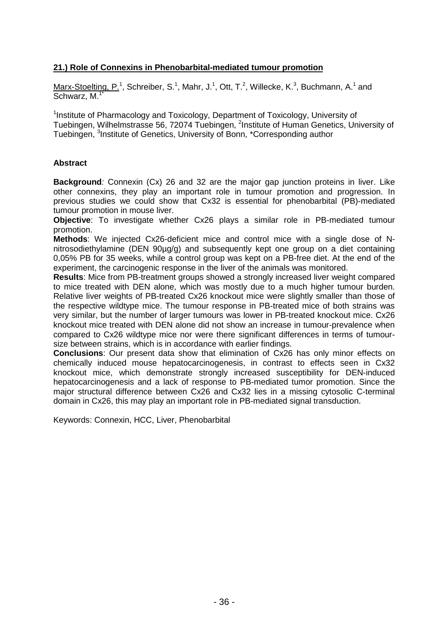# **21.) Role of Connexins in Phenobarbital-mediated tumour promotion**

Marx-Stoelting, P.<sup>1</sup>, Schreiber, S.<sup>1</sup>, Mahr, J.<sup>1</sup>, Ott, T.<sup>2</sup>, Willecke, K.<sup>3</sup>, Buchmann, A.<sup>1</sup> and Schwarz, M.<sup>1\*</sup>

<sup>1</sup>Institute of Pharmacology and Toxicology, Department of Toxicology, University of Tuebingen, Wilhelmstrasse 56, 72074 Tuebingen, <sup>2</sup>Institute of Human Genetics, University of Tuebingen, <sup>3</sup>Institute of Genetics, University of Bonn, \*Corresponding author

#### **Abstract**

**Background**: Connexin (Cx) 26 and 32 are the major gap junction proteins in liver. Like other connexins, they play an important role in tumour promotion and progression. In previous studies we could show that Cx32 is essential for phenobarbital (PB)-mediated tumour promotion in mouse liver.

**Objective**: To investigate whether Cx26 plays a similar role in PB-mediated tumour promotion.

**Methods**: We injected Cx26-deficient mice and control mice with a single dose of Nnitrosodiethylamine (DEN 90µg/g) and subsequently kept one group on a diet containing 0,05% PB for 35 weeks, while a control group was kept on a PB-free diet. At the end of the experiment, the carcinogenic response in the liver of the animals was monitored.

**Results**: Mice from PB-treatment groups showed a strongly increased liver weight compared to mice treated with DEN alone, which was mostly due to a much higher tumour burden. Relative liver weights of PB-treated Cx26 knockout mice were slightly smaller than those of the respective wildtype mice. The tumour response in PB-treated mice of both strains was very similar, but the number of larger tumours was lower in PB-treated knockout mice. Cx26 knockout mice treated with DEN alone did not show an increase in tumour-prevalence when compared to Cx26 wildtype mice nor were there significant differences in terms of tumoursize between strains, which is in accordance with earlier findings.

**Conclusions**: Our present data show that elimination of Cx26 has only minor effects on chemically induced mouse hepatocarcinogenesis, in contrast to effects seen in Cx32 knockout mice, which demonstrate strongly increased susceptibility for DEN-induced hepatocarcinogenesis and a lack of response to PB-mediated tumor promotion. Since the major structural difference between Cx26 and Cx32 lies in a missing cytosolic C-terminal domain in Cx26, this may play an important role in PB-mediated signal transduction.

Keywords: Connexin, HCC, Liver, Phenobarbital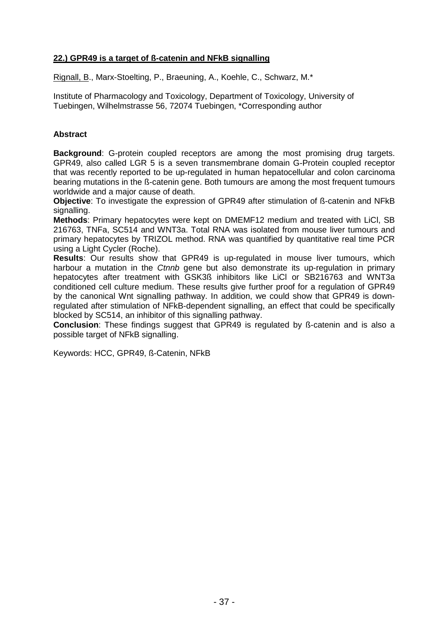# **22.) GPR49 is a target of ß-catenin and NFkB signalling**

Rignall, B., Marx-Stoelting, P., Braeuning, A., Koehle, C., Schwarz, M.\*

Institute of Pharmacology and Toxicology, Department of Toxicology, University of Tuebingen, Wilhelmstrasse 56, 72074 Tuebingen, \*Corresponding author

# **Abstract**

**Background**: G-protein coupled receptors are among the most promising drug targets. GPR49, also called LGR 5 is a seven transmembrane domain G-Protein coupled receptor that was recently reported to be up-regulated in human hepatocellular and colon carcinoma bearing mutations in the ß-catenin gene. Both tumours are among the most frequent tumours worldwide and a major cause of death.

**Objective**: To investigate the expression of GPR49 after stimulation of ß-catenin and NFkB signalling.

**Methods**: Primary hepatocytes were kept on DMEMF12 medium and treated with LiCl, SB 216763, TNFa, SC514 and WNT3a. Total RNA was isolated from mouse liver tumours and primary hepatocytes by TRIZOL method. RNA was quantified by quantitative real time PCR using a Light Cycler (Roche).

**Results**: Our results show that GPR49 is up-regulated in mouse liver tumours, which harbour a mutation in the Ctnnb gene but also demonstrate its up-regulation in primary hepatocytes after treatment with GSK3ß inhibitors like LiCl or SB216763 and WNT3a conditioned cell culture medium. These results give further proof for a regulation of GPR49 by the canonical Wnt signalling pathway. In addition, we could show that GPR49 is downregulated after stimulation of NFkB-dependent signalling, an effect that could be specifically blocked by SC514, an inhibitor of this signalling pathway.

**Conclusion**: These findings suggest that GPR49 is regulated by ß-catenin and is also a possible target of NFkB signalling.

Keywords: HCC, GPR49, ß-Catenin, NFkB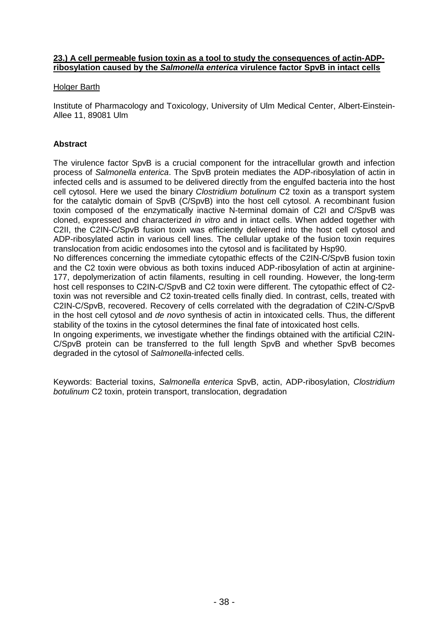#### **23.) A cell permeable fusion toxin as a tool to study the consequences of actin-ADPribosylation caused by the Salmonella enterica virulence factor SpvB in intact cells**

#### Holger Barth

Institute of Pharmacology and Toxicology, University of Ulm Medical Center, Albert-Einstein-Allee 11, 89081 Ulm

# **Abstract**

The virulence factor SpvB is a crucial component for the intracellular growth and infection process of Salmonella enterica. The SpvB protein mediates the ADP-ribosylation of actin in infected cells and is assumed to be delivered directly from the engulfed bacteria into the host cell cytosol. Here we used the binary Clostridium botulinum C2 toxin as a transport system for the catalytic domain of SpvB (C/SpvB) into the host cell cytosol. A recombinant fusion toxin composed of the enzymatically inactive N-terminal domain of C2I and C/SpvB was cloned, expressed and characterized in vitro and in intact cells. When added together with C2II, the C2IN-C/SpvB fusion toxin was efficiently delivered into the host cell cytosol and ADP-ribosylated actin in various cell lines. The cellular uptake of the fusion toxin requires translocation from acidic endosomes into the cytosol and is facilitated by Hsp90.

No differences concerning the immediate cytopathic effects of the C2IN-C/SpvB fusion toxin and the C2 toxin were obvious as both toxins induced ADP-ribosylation of actin at arginine-177, depolymerization of actin filaments, resulting in cell rounding. However, the long-term host cell responses to C2IN-C/SpvB and C2 toxin were different. The cytopathic effect of C2 toxin was not reversible and C2 toxin-treated cells finally died. In contrast, cells, treated with C2IN-C/SpvB, recovered. Recovery of cells correlated with the degradation of C2IN-C/SpvB in the host cell cytosol and de novo synthesis of actin in intoxicated cells. Thus, the different stability of the toxins in the cytosol determines the final fate of intoxicated host cells.

In ongoing experiments, we investigate whether the findings obtained with the artificial C2IN-C/SpvB protein can be transferred to the full length SpvB and whether SpvB becomes degraded in the cytosol of Salmonella-infected cells.

Keywords: Bacterial toxins, Salmonella enterica SpvB, actin, ADP-ribosylation, Clostridium botulinum C2 toxin, protein transport, translocation, degradation